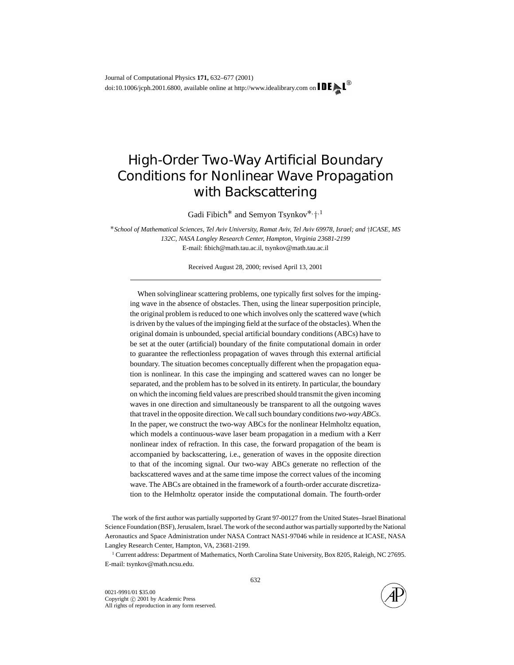# High-Order Two-Way Artificial Boundary Conditions for Nonlinear Wave Propagation with Backscattering

Gadi Fibich<sup>\*</sup> and Semyon Tsynkov<sup>\*,</sup>†<sup>,1</sup>

<sup>∗</sup>*School of Mathematical Sciences, Tel Aviv University, Ramat Aviv, Tel Aviv 69978, Israel; and* †*ICASE, MS 132C, NASA Langley Research Center, Hampton, Virginia 23681-2199* E-mail: fibich@math.tau.ac.il, tsynkov@math.tau.ac.il

Received August 28, 2000; revised April 13, 2001

When solvinglinear scattering problems, one typically first solves for the impinging wave in the absence of obstacles. Then, using the linear superposition principle, the original problem is reduced to one which involves only the scattered wave (which is driven by the values of the impinging field at the surface of the obstacles). When the original domain is unbounded, special artificial boundary conditions (ABCs) have to be set at the outer (artificial) boundary of the finite computational domain in order to guarantee the reflectionless propagation of waves through this external artificial boundary. The situation becomes conceptually different when the propagation equation is nonlinear. In this case the impinging and scattered waves can no longer be separated, and the problem has to be solved in its entirety. In particular, the boundary on which the incoming field values are prescribed should transmit the given incoming waves in one direction and simultaneously be transparent to all the outgoing waves that travel in the opposite direction. We call such boundary conditions*two-way ABCs*. In the paper, we construct the two-way ABCs for the nonlinear Helmholtz equation, which models a continuous-wave laser beam propagation in a medium with a Kerr nonlinear index of refraction. In this case, the forward propagation of the beam is accompanied by backscattering, i.e., generation of waves in the opposite direction to that of the incoming signal. Our two-way ABCs generate no reflection of the backscattered waves and at the same time impose the correct values of the incoming wave. The ABCs are obtained in the framework of a fourth-order accurate discretization to the Helmholtz operator inside the computational domain. The fourth-order

The work of the first author was partially supported by Grant 97-00127 from the United States–Israel Binational Science Foundation (BSF), Jerusalem, Israel. The work of the second author was partially supported by the National Aeronautics and Space Administration under NASA Contract NAS1-97046 while in residence at ICASE, NASA Langley Research Center, Hampton, VA, 23681-2199.

<sup>1</sup> Current address: Department of Mathematics, North Carolina State University, Box 8205, Raleigh, NC 27695. E-mail: tsynkov@math.ncsu.edu.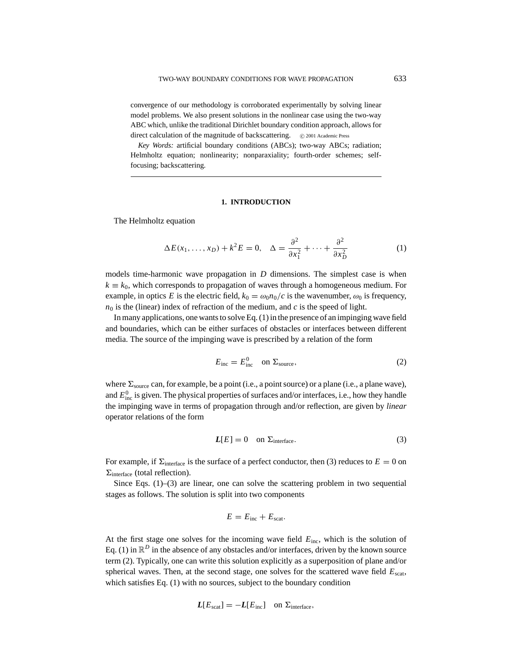convergence of our methodology is corroborated experimentally by solving linear model problems. We also present solutions in the nonlinear case using the two-way ABC which, unlike the traditional Dirichlet boundary condition approach, allows for direct calculation of the magnitude of backscattering.  $\circ$  2001 Academic Press

*Key Words:* artificial boundary conditions (ABCs); two-way ABCs; radiation; Helmholtz equation; nonlinearity; nonparaxiality; fourth-order schemes; selffocusing; backscattering.

## **1. INTRODUCTION**

The Helmholtz equation

$$
\Delta E(x_1, \dots, x_D) + k^2 E = 0, \quad \Delta = \frac{\partial^2}{\partial x_1^2} + \dots + \frac{\partial^2}{\partial x_D^2}
$$
 (1)

models time-harmonic wave propagation in *D* dimensions. The simplest case is when  $k \equiv k_0$ , which corresponds to propagation of waves through a homogeneous medium. For example, in optics *E* is the electric field,  $k_0 = \omega_0 n_0/c$  is the wavenumber,  $\omega_0$  is frequency,  $n_0$  is the (linear) index of refraction of the medium, and *c* is the speed of light.

In many applications, one wants to solve Eq. (1) in the presence of an impinging wave field and boundaries, which can be either surfaces of obstacles or interfaces between different media. The source of the impinging wave is prescribed by a relation of the form

$$
E_{\text{inc}} = E_{\text{inc}}^0 \quad \text{on } \Sigma_{\text{source}}, \tag{2}
$$

where  $\Sigma_{source}$  can, for example, be a point (i.e., a point source) or a plane (i.e., a plane wave), and  $E_{\text{inc}}^0$  is given. The physical properties of surfaces and/or interfaces, i.e., how they handle the impinging wave in terms of propagation through and/or reflection, are given by *linear* operator relations of the form

$$
L[E] = 0 \quad \text{on } \Sigma_{\text{interface}}.\tag{3}
$$

For example, if  $\Sigma_{\text{interface}}$  is the surface of a perfect conductor, then (3) reduces to  $E = 0$  on  $\Sigma_{\text{interface}}$  (total reflection).

Since Eqs. (1)–(3) are linear, one can solve the scattering problem in two sequential stages as follows. The solution is split into two components

$$
E=E_{\text{inc}}+E_{\text{scat}}.
$$

At the first stage one solves for the incoming wave field *E*inc, which is the solution of Eq. (1) in  $\mathbb{R}^D$  in the absence of any obstacles and/or interfaces, driven by the known source term (2). Typically, one can write this solution explicitly as a superposition of plane and/or spherical waves. Then, at the second stage, one solves for the scattered wave field  $E_{\text{scat}}$ , which satisfies Eq. (1) with no sources, subject to the boundary condition

$$
L[E_{\text{scat}}] = -L[E_{\text{inc}}] \quad \text{on } \Sigma_{\text{interface}},
$$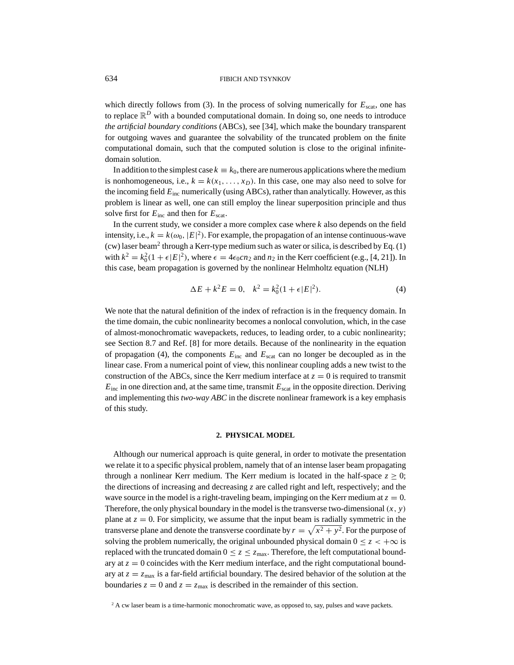which directly follows from (3). In the process of solving numerically for  $E_{scat}$ , one has to replace  $\mathbb{R}^D$  with a bounded computational domain. In doing so, one needs to introduce *the artificial boundary conditions* (ABCs), see [34], which make the boundary transparent for outgoing waves and guarantee the solvability of the truncated problem on the finite computational domain, such that the computed solution is close to the original infinitedomain solution.

In addition to the simplest case  $k \equiv k_0$ , there are numerous applications where the medium is nonhomogeneous, i.e.,  $k = k(x_1, \ldots, x_n)$ . In this case, one may also need to solve for the incoming field *E*inc numerically (using ABCs), rather than analytically. However, as this problem is linear as well, one can still employ the linear superposition principle and thus solve first for  $E_{\text{inc}}$  and then for  $E_{\text{scat}}$ .

In the current study, we consider a more complex case where *k* also depends on the field intensity, i.e.,  $k = k(\omega_0, |E|^2)$ . For example, the propagation of an intense continuous-wave (cw) laser beam2 through a Kerr-type medium such as water or silica, is described by Eq. (1) with  $k^2 = k_0^2(1 + \epsilon |E|^2)$ , where  $\epsilon = 4\epsilon_0 cn_2$  and  $n_2$  in the Kerr coefficient (e.g., [4, 21]). In this case, beam propagation is governed by the nonlinear Helmholtz equation (NLH)

$$
\Delta E + k^2 E = 0, \quad k^2 = k_0^2 (1 + \epsilon |E|^2). \tag{4}
$$

We note that the natural definition of the index of refraction is in the frequency domain. In the time domain, the cubic nonlinearity becomes a nonlocal convolution, which, in the case of almost-monochromatic wavepackets, reduces, to leading order, to a cubic nonlinearity; see Section 8.7 and Ref. [8] for more details. Because of the nonlinearity in the equation of propagation (4), the components  $E_{\text{inc}}$  and  $E_{\text{scat}}$  can no longer be decoupled as in the linear case. From a numerical point of view, this nonlinear coupling adds a new twist to the construction of the ABCs, since the Kerr medium interface at  $z = 0$  is required to transmit  $E_{\text{inc}}$  in one direction and, at the same time, transmit  $E_{\text{scat}}$  in the opposite direction. Deriving and implementing this *two-way ABC* in the discrete nonlinear framework is a key emphasis of this study.

# **2. PHYSICAL MODEL**

Although our numerical approach is quite general, in order to motivate the presentation we relate it to a specific physical problem, namely that of an intense laser beam propagating through a nonlinear Kerr medium. The Kerr medium is located in the half-space  $z \ge 0$ ; the directions of increasing and decreasing *z* are called right and left, respectively; and the wave source in the model is a right-traveling beam, impinging on the Kerr medium at  $z = 0$ . Therefore, the only physical boundary in the model is the transverse two-dimensional  $(x, y)$ plane at  $z = 0$ . For simplicity, we assume that the input beam is radially symmetric in the transverse plane and denote the transverse coordinate by  $r = \sqrt{x^2 + y^2}$ . For the purpose of solving the problem numerically, the original unbounded physical domain  $0 \le z \le +\infty$  is replaced with the truncated domain  $0 \le z \le z_{\text{max}}$ . Therefore, the left computational boundary at  $z = 0$  coincides with the Kerr medium interface, and the right computational boundary at  $z = z_{\text{max}}$  is a far-field artificial boundary. The desired behavior of the solution at the boundaries  $z = 0$  and  $z = z_{\text{max}}$  is described in the remainder of this section.

<sup>&</sup>lt;sup>2</sup> A cw laser beam is a time-harmonic monochromatic wave, as opposed to, say, pulses and wave packets.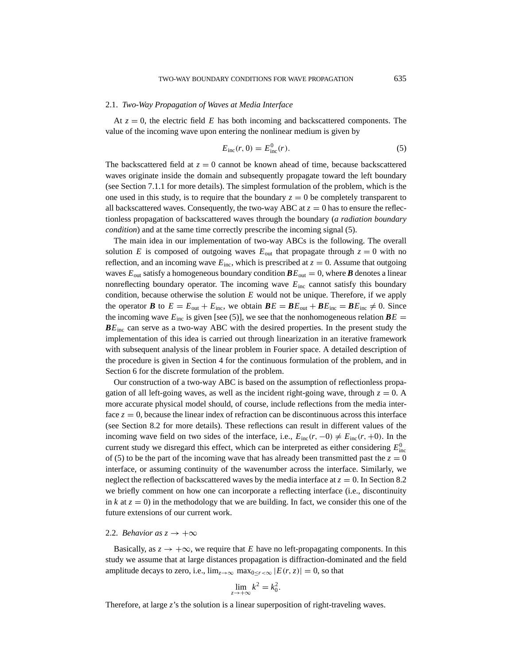#### 2.1. *Two-Way Propagation of Waves at Media Interface*

At  $z = 0$ , the electric field E has both incoming and backscattered components. The value of the incoming wave upon entering the nonlinear medium is given by

$$
E_{\rm inc}(r, 0) = E_{\rm inc}^0(r). \tag{5}
$$

The backscattered field at  $z = 0$  cannot be known ahead of time, because backscattered waves originate inside the domain and subsequently propagate toward the left boundary (see Section 7.1.1 for more details). The simplest formulation of the problem, which is the one used in this study, is to require that the boundary  $z = 0$  be completely transparent to all backscattered waves. Consequently, the two-way ABC at  $z = 0$  has to ensure the reflectionless propagation of backscattered waves through the boundary (*a radiation boundary condition*) and at the same time correctly prescribe the incoming signal (5).

The main idea in our implementation of two-way ABCs is the following. The overall solution *E* is composed of outgoing waves  $E_{\text{out}}$  that propagate through  $z = 0$  with no reflection, and an incoming wave  $E_{\text{inc}}$ , which is prescribed at  $z = 0$ . Assume that outgoing waves  $E_{\text{out}}$  satisfy a homogeneous boundary condition  $\boldsymbol{B} E_{\text{out}} = 0$ , where  $\boldsymbol{B}$  denotes a linear nonreflecting boundary operator. The incoming wave  $E_{\text{inc}}$  cannot satisfy this boundary condition, because otherwise the solution *E* would not be unique. Therefore, if we apply the operator *B* to  $E = E_{\text{out}} + E_{\text{inc}}$ , we obtain  $\mathbf{B}E = \mathbf{B}E_{\text{out}} + \mathbf{B}E_{\text{inc}} = \mathbf{B}E_{\text{inc}} \neq 0$ . Since the incoming wave  $E_{inc}$  is given [see (5)], we see that the nonhomogeneous relation  $\boldsymbol{B}E =$  $BE<sub>inc</sub>$  can serve as a two-way ABC with the desired properties. In the present study the implementation of this idea is carried out through linearization in an iterative framework with subsequent analysis of the linear problem in Fourier space. A detailed description of the procedure is given in Section 4 for the continuous formulation of the problem, and in Section 6 for the discrete formulation of the problem.

Our construction of a two-way ABC is based on the assumption of reflectionless propagation of all left-going waves, as well as the incident right-going wave, through  $z = 0$ . A more accurate physical model should, of course, include reflections from the media interface  $z = 0$ , because the linear index of refraction can be discontinuous across this interface (see Section 8.2 for more details). These reflections can result in different values of the incoming wave field on two sides of the interface, i.e.,  $E_{\text{inc}}(r, -0) \neq E_{\text{inc}}(r, +0)$ . In the current study we disregard this effect, which can be interpreted as either considering  $E_{\text{inc}}^0$ of (5) to be the part of the incoming wave that has already been transmitted past the  $z = 0$ interface, or assuming continuity of the wavenumber across the interface. Similarly, we neglect the reflection of backscattered waves by the media interface at  $z = 0$ . In Section 8.2 we briefly comment on how one can incorporate a reflecting interface (i.e., discontinuity in  $k$  at  $z = 0$ ) in the methodology that we are building. In fact, we consider this one of the future extensions of our current work.

## 2.2. *Behavior as*  $z \rightarrow +\infty$

Basically, as  $z \to +\infty$ , we require that *E* have no left-propagating components. In this study we assume that at large distances propagation is diffraction-dominated and the field amplitude decays to zero, i.e.,  $\lim_{z\to\infty} \max_{0\leq r\leq\infty} |E(r, z)| = 0$ , so that

$$
\lim_{z \to +\infty} k^2 = k_0^2.
$$

Therefore, at large *z*'s the solution is a linear superposition of right-traveling waves.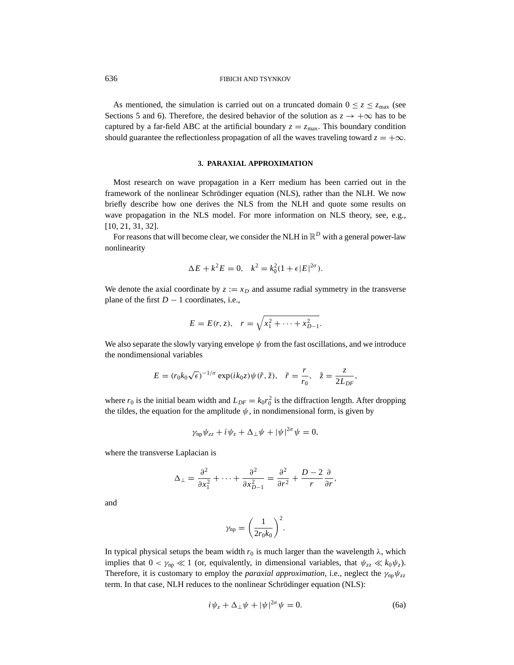As mentioned, the simulation is carried out on a truncated domain  $0 \le z \le z_{\text{max}}$  (see Sections 5 and 6). Therefore, the desired behavior of the solution as  $z \rightarrow +\infty$  has to be captured by a far-field ABC at the artificial boundary  $z = z_{\text{max}}$ . This boundary condition should guarantee the reflectionless propagation of all the waves traveling toward  $z = +\infty$ .

#### **3. PARAXIAL APPROXIMATION**

Most research on wave propagation in a Kerr medium has been carried out in the framework of the nonlinear Schrödinger equation (NLS), rather than the NLH. We now briefly describe how one derives the NLS from the NLH and quote some results on wave propagation in the NLS model. For more information on NLS theory, see, e.g., [10, 21, 31, 32].

For reasons that will become clear, we consider the NLH in  $\mathbb{R}^D$  with a general power-law nonlinearity

$$
\Delta E + k^2 E = 0, \quad k^2 = k_0^2 (1 + \epsilon |E|^{2\sigma}).
$$

We denote the axial coordinate by  $z := x_D$  and assume radial symmetry in the transverse plane of the first  $D - 1$  coordinates, i.e.,

$$
E = E(r, z), \quad r = \sqrt{x_1^2 + \dots + x_{D-1}^2}.
$$

We also separate the slowly varying envelope  $\psi$  from the fast oscillations, and we introduce the nondimensional variables

$$
E = (r_0 k_0 \sqrt{\epsilon})^{-1/\sigma} \exp(ik_0 z) \psi(\tilde{r}, \tilde{z}), \quad \tilde{r} = \frac{r}{r_0}, \quad \tilde{z} = \frac{z}{2L_{DF}},
$$

where  $r_0$  is the initial beam width and  $L_{DF} = k_0 r_0^2$  is the diffraction length. After dropping the tildes, the equation for the amplitude  $\psi$ , in nondimensional form, is given by

$$
\gamma_{\rm np} \psi_{zz} + i \psi_z + \Delta_\perp \psi + |\psi|^{2\sigma} \psi = 0,
$$

where the transverse Laplacian is

$$
\Delta_{\perp} = \frac{\partial^2}{\partial x_1^2} + \dots + \frac{\partial^2}{\partial x_{D-1}^2} = \frac{\partial^2}{\partial r^2} + \frac{D-2}{r} \frac{\partial}{\partial r},
$$

and

$$
\gamma_{\rm np} = \bigg(\frac{1}{2r_0k_0}\bigg)^2.
$$

In typical physical setups the beam width  $r_0$  is much larger than the wavelength  $\lambda$ , which implies that  $0 < \gamma_{np} \ll 1$  (or, equivalently, in dimensional variables, that  $\psi_{zz} \ll k_0 \psi_z$ ). Therefore, it is customary to employ the *paraxial approximation*, i.e., neglect the  $\gamma_{np}\psi_{zz}$ term. In that case, NLH reduces to the nonlinear Schrödinger equation (NLS):

$$
i\psi_z + \Delta_\perp \psi + |\psi|^{2\sigma} \psi = 0. \tag{6a}
$$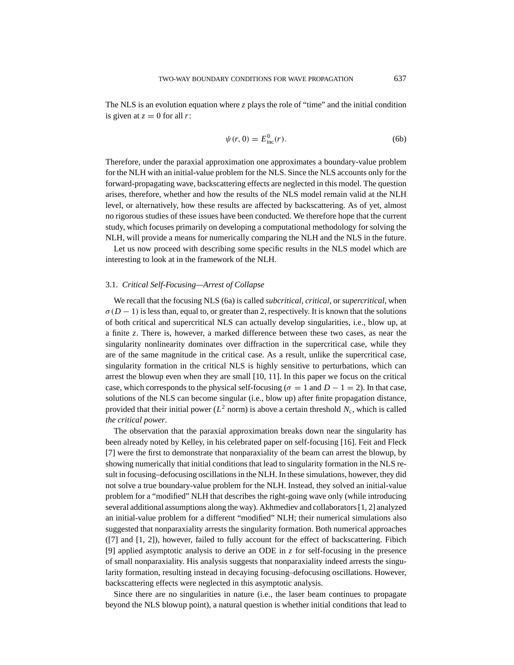The NLS is an evolution equation where *z* plays the role of "time" and the initial condition is given at  $z = 0$  for all *r*:

$$
\psi(r,0) = E_{\text{inc}}^0(r). \tag{6b}
$$

Therefore, under the paraxial approximation one approximates a boundary-value problem for the NLH with an initial-value problem for the NLS. Since the NLS accounts only for the forward-propagating wave, backscattering effects are neglected in this model. The question arises, therefore, whether and how the results of the NLS model remain valid at the NLH level, or alternatively, how these results are affected by backscattering. As of yet, almost no rigorous studies of these issues have been conducted. We therefore hope that the current study, which focuses primarily on developing a computational methodology for solving the NLH, will provide a means for numerically comparing the NLH and the NLS in the future.

Let us now proceed with describing some specific results in the NLS model which are interesting to look at in the framework of the NLH.

# 3.1. *Critical Self-Focusing—Arrest of Collapse*

We recall that the focusing NLS (6a) is called *subcritical*, *critical*, or *supercritical*, when  $\sigma(D-1)$  is less than, equal to, or greater than 2, respectively. It is known that the solutions of both critical and supercritical NLS can actually develop singularities, i.e., blow up, at a finite *z*. There is, however, a marked difference between these two cases, as near the singularity nonlinearity dominates over diffraction in the supercritical case, while they are of the same magnitude in the critical case. As a result, unlike the supercritical case, singularity formation in the critical NLS is highly sensitive to perturbations, which can arrest the blowup even when they are small [10, 11]. In this paper we focus on the critical case, which corresponds to the physical self-focusing ( $\sigma = 1$  and  $D - 1 = 2$ ). In that case, solutions of the NLS can become singular (i.e., blow up) after finite propagation distance, provided that their initial power  $(L^2$  norm) is above a certain threshold  $N_c$ , which is called *the critical power*.

The observation that the paraxial approximation breaks down near the singularity has been already noted by Kelley, in his celebrated paper on self-focusing [16]. Feit and Fleck [7] were the first to demonstrate that nonparaxiality of the beam can arrest the blowup, by showing numerically that initial conditions that lead to singularity formation in the NLS result in focusing–defocusing oscillations in the NLH. In these simulations, however, they did not solve a true boundary-value problem for the NLH. Instead, they solved an initial-value problem for a "modified" NLH that describes the right-going wave only (while introducing several additional assumptions along the way). Akhmediev and collaborators [1, 2] analyzed an initial-value problem for a different "modified" NLH; their numerical simulations also suggested that nonparaxiality arrests the singularity formation. Both numerical approaches ([7] and [1, 2]), however, failed to fully account for the effect of backscattering. Fibich [9] applied asymptotic analysis to derive an ODE in *z* for self-focusing in the presence of small nonparaxiality. His analysis suggests that nonparaxiality indeed arrests the singularity formation, resulting instead in decaying focusing–defocusing oscillations. However, backscattering effects were neglected in this asymptotic analysis.

Since there are no singularities in nature (i.e., the laser beam continues to propagate beyond the NLS blowup point), a natural question is whether initial conditions that lead to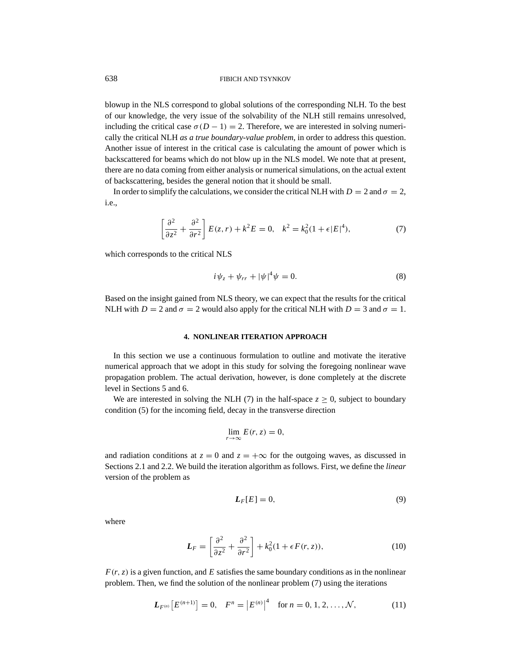blowup in the NLS correspond to global solutions of the corresponding NLH. To the best of our knowledge, the very issue of the solvability of the NLH still remains unresolved, including the critical case  $\sigma(D-1) = 2$ . Therefore, we are interested in solving numerically the critical NLH *as a true boundary-value problem*, in order to address this question. Another issue of interest in the critical case is calculating the amount of power which is backscattered for beams which do not blow up in the NLS model. We note that at present, there are no data coming from either analysis or numerical simulations, on the actual extent of backscattering, besides the general notion that it should be small.

In order to simplify the calculations, we consider the critical NLH with  $D = 2$  and  $\sigma = 2$ , i.e.,

$$
\left[\frac{\partial^2}{\partial z^2} + \frac{\partial^2}{\partial r^2}\right] E(z, r) + k^2 E = 0, \quad k^2 = k_0^2 (1 + \epsilon |E|^4),\tag{7}
$$

which corresponds to the critical NLS

$$
i\psi_z + \psi_{rr} + |\psi|^4 \psi = 0.
$$
 (8)

Based on the insight gained from NLS theory, we can expect that the results for the critical NLH with  $D = 2$  and  $\sigma = 2$  would also apply for the critical NLH with  $D = 3$  and  $\sigma = 1$ .

## **4. NONLINEAR ITERATION APPROACH**

In this section we use a continuous formulation to outline and motivate the iterative numerical approach that we adopt in this study for solving the foregoing nonlinear wave propagation problem. The actual derivation, however, is done completely at the discrete level in Sections 5 and 6.

We are interested in solving the NLH (7) in the half-space  $z \ge 0$ , subject to boundary condition (5) for the incoming field, decay in the transverse direction

$$
\lim_{r \to \infty} E(r, z) = 0,
$$

and radiation conditions at  $z = 0$  and  $z = +\infty$  for the outgoing waves, as discussed in Sections 2.1 and 2.2. We build the iteration algorithm as follows. First, we define the *linear* version of the problem as

$$
L_F[E] = 0,\t\t(9)
$$

where

$$
\boldsymbol{L}_F = \left[\frac{\partial^2}{\partial z^2} + \frac{\partial^2}{\partial r^2}\right] + k_0^2 (1 + \epsilon F(r, z)),\tag{10}
$$

 $F(r, z)$  is a given function, and *E* satisfies the same boundary conditions as in the nonlinear problem. Then, we find the solution of the nonlinear problem (7) using the iterations

$$
L_{F^{(n)}}[E^{(n+1)}] = 0, \quad F^n = |E^{(n)}|^4 \quad \text{for } n = 0, 1, 2, \dots, \mathcal{N}, \tag{11}
$$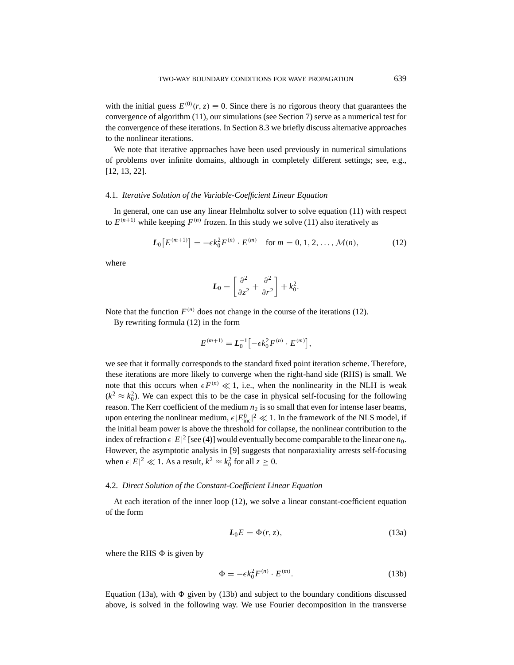with the initial guess  $E^{(0)}(r, z) \equiv 0$ . Since there is no rigorous theory that guarantees the convergence of algorithm (11), our simulations (see Section 7) serve as a numerical test for the convergence of these iterations. In Section 8.3 we briefly discuss alternative approaches to the nonlinear iterations.

We note that iterative approaches have been used previously in numerical simulations of problems over infinite domains, although in completely different settings; see, e.g., [12, 13, 22].

#### 4.1. *Iterative Solution of the Variable-Coefficient Linear Equation*

In general, one can use any linear Helmholtz solver to solve equation (11) with respect to  $E^{(n+1)}$  while keeping  $F^{(n)}$  frozen. In this study we solve (11) also iteratively as

$$
L_0\big[E^{(m+1)}\big] = -\epsilon k_0^2 F^{(n)} \cdot E^{(m)} \quad \text{for } m = 0, 1, 2, \dots, \mathcal{M}(n), \tag{12}
$$

where

$$
L_0 = \left[\frac{\partial^2}{\partial z^2} + \frac{\partial^2}{\partial r^2}\right] + k_0^2.
$$

Note that the function  $F^{(n)}$  does not change in the course of the iterations (12).

By rewriting formula (12) in the form

$$
E^{(m+1)} = L_0^{-1} \left[ -\epsilon k_0^2 F^{(n)} \cdot E^{(m)} \right],
$$

we see that it formally corresponds to the standard fixed point iteration scheme. Therefore, these iterations are more likely to converge when the right-hand side (RHS) is small. We note that this occurs when  $\epsilon F^{(n)} \ll 1$ , i.e., when the nonlinearity in the NLH is weak  $(k^2 \approx k_0^2)$ . We can expect this to be the case in physical self-focusing for the following reason. The Kerr coefficient of the medium  $n_2$  is so small that even for intense laser beams, upon entering the nonlinear medium,  $\epsilon |E_{\text{inc}}^0|^2 \ll 1$ . In the framework of the NLS model, if the initial beam power is above the threshold for collapse, the nonlinear contribution to the index of refraction  $\epsilon |E|^2$  [see (4)] would eventually become comparable to the linear one  $n_0$ . However, the asymptotic analysis in [9] suggests that nonparaxiality arrests self-focusing when  $\epsilon |E|^2 \ll 1$ . As a result,  $k^2 \approx k_0^2$  for all  $z \ge 0$ .

## 4.2. *Direct Solution of the Constant-Coefficient Linear Equation*

At each iteration of the inner loop (12), we solve a linear constant-coefficient equation of the form

$$
L_0 E = \Phi(r, z), \tag{13a}
$$

where the RHS  $\Phi$  is given by

$$
\Phi = -\epsilon k_0^2 F^{(n)} \cdot E^{(m)}.\tag{13b}
$$

Equation (13a), with  $\Phi$  given by (13b) and subject to the boundary conditions discussed above, is solved in the following way. We use Fourier decomposition in the transverse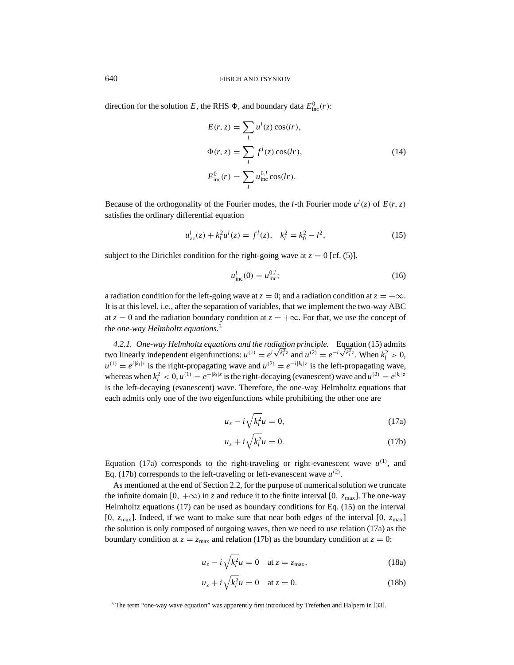direction for the solution *E*, the RHS  $\Phi$ , and boundary data  $E_{\text{inc}}^0(r)$ :

$$
E(r, z) = \sum_{l} u^{l}(z) \cos(lr),
$$
  
\n
$$
\Phi(r, z) = \sum_{l} f^{l}(z) \cos(lr),
$$
  
\n
$$
E_{\text{inc}}^{0}(r) = \sum_{l} u_{\text{inc}}^{0,l} \cos(lr).
$$
\n(14)

Because of the orthogonality of the Fourier modes, the *l*-th Fourier mode  $u^l(z)$  of  $E(r, z)$ satisfies the ordinary differential equation

$$
u_{zz}^l(z) + k_l^2 u^l(z) = f^l(z), \quad k_l^2 = k_0^2 - l^2,\tag{15}
$$

subject to the Dirichlet condition for the right-going wave at  $z = 0$  [cf. (5)],

$$
u_{\text{inc}}^l(0) = u_{\text{inc}}^{0,l};\tag{16}
$$

a radiation condition for the left-going wave at  $z = 0$ ; and a radiation condition at  $z = +\infty$ . It is at this level, i.e., after the separation of variables, that we implement the two-way ABC at  $z = 0$  and the radiation boundary condition at  $z = +\infty$ . For that, we use the concept of the *one-way Helmholtz equations.*<sup>3</sup>

*4.2.1. One-way Helmholtz equations and the radiation principle.* Equation (15) admits 4.2.1. One-way Helmholtz equations and the radiation principle. Equation (15) admits two linearly independent eigenfunctions:  $u^{(1)} = e^{i\sqrt{k_1^2}z}$  and  $u^{(2)} = e^{-i\sqrt{k_1^2}z}$ . When  $k_1^2 > 0$ ,  $u^{(1)} = e^{i|k_1|z}$  is the right-propagating wave and  $u^{(2)} = e^{-i|k_1|z}$  is the left-propagating wave, whereas when  $k_l^2 < 0$ ,  $u^{(1)} = e^{-|k_l|z}$  is the right-decaying (evanescent) wave and  $u^{(2)} = e^{|k_l|z}$ is the left-decaying (evanescent) wave. Therefore, the one-way Helmholtz equations that each admits only one of the two eigenfunctions while prohibiting the other one are

$$
u_z - i\sqrt{k_l^2}u = 0,\t\t(17a)
$$

$$
u_z + i\sqrt{k_l^2}u = 0.\t(17b)
$$

Equation (17a) corresponds to the right-traveling or right-evanescent wave  $u^{(1)}$ , and Eq. (17b) corresponds to the left-traveling or left-evanescent wave  $u^{(2)}$ .

As mentioned at the end of Section 2.2, for the purpose of numerical solution we truncate the infinite domain [0,  $+\infty$ ) in *z* and reduce it to the finite interval [0,  $z_{\text{max}}$ ]. The one-way Helmholtz equations (17) can be used as boundary conditions for Eq. (15) on the interval  $[0, z_{\text{max}}]$ . Indeed, if we want to make sure that near both edges of the interval  $[0, z_{\text{max}}]$ the solution is only composed of outgoing waves, then we need to use relation (17a) as the boundary condition at  $z = z_{\text{max}}$  and relation (17b) as the boundary condition at  $z = 0$ :

$$
u_z - i\sqrt{k_l^2}u = 0 \quad \text{at } z = z_{\text{max}},\tag{18a}
$$

$$
u_z + i\sqrt{k_l^2}u = 0 \quad \text{at } z = 0. \tag{18b}
$$

<sup>3</sup> The term "one-way wave equation" was apparently first introduced by Trefethen and Halpern in [33].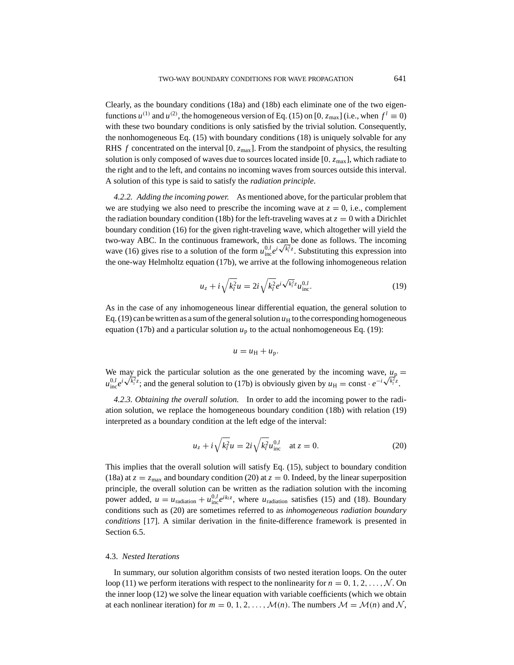Clearly, as the boundary conditions (18a) and (18b) each eliminate one of the two eigenfunctions  $u^{(1)}$  and  $u^{(2)}$ , the homogeneous version of Eq. (15) on [0,  $z_{\text{max}}$ ] (i.e., when  $f^l \equiv 0$ ) with these two boundary conditions is only satisfied by the trivial solution. Consequently, the nonhomogeneous Eq. (15) with boundary conditions (18) is uniquely solvable for any RHS *f* concentrated on the interval  $[0, z_{\text{max}}]$ . From the standpoint of physics, the resulting solution is only composed of waves due to sources located inside  $[0, z_{\text{max}}]$ , which radiate to the right and to the left, and contains no incoming waves from sources outside this interval. A solution of this type is said to satisfy the *radiation principle*.

*4.2.2. Adding the incoming power.* As mentioned above, for the particular problem that we are studying we also need to prescribe the incoming wave at  $z = 0$ , i.e., complement the radiation boundary condition (18b) for the left-traveling waves at  $z = 0$  with a Dirichlet boundary condition (16) for the given right-traveling wave, which altogether will yield the two-way ABC. In the continuous framework, this can be done as follows. The incoming two-way ABC. In the continuous framework, this can be done as follows. The incoming wave (16) gives rise to a solution of the form  $u_{\text{inc}}^{0,l}e^{i\sqrt{k_l^2}z}$ . Substituting this expression into the one-way Helmholtz equation (17b), we arrive at the following inhomogeneous relation

$$
u_z + i\sqrt{k_l^2}u = 2i\sqrt{k_l^2}e^{i\sqrt{k_l^2}z}u_{\text{inc}}^{0,l}.
$$
 (19)

As in the case of any inhomogeneous linear differential equation, the general solution to Eq.  $(19)$  can be written as a sum of the general solution  $u_H$  to the corresponding homogeneous equation (17b) and a particular solution  $u_p$  to the actual nonhomogeneous Eq. (19):

$$
u = u_{\rm H} + u_{\rm p}.
$$

We may pick the particular solution as the one generated by the incoming wave,  $u_p =$ We may pick the particular solution as the one generated by the incoming wave,  $u_p$ <br>  $u_{\text{inc}}^{0,l} e^{i\sqrt{k_l^2}z}$ ; and the general solution to (17b) is obviously given by  $u_H = \text{const} \cdot e^{-i\sqrt{k_l^2}z}$ .

*4.2.3. Obtaining the overall solution.* In order to add the incoming power to the radiation solution, we replace the homogeneous boundary condition (18b) with relation (19) interpreted as a boundary condition at the left edge of the interval:

$$
u_z + i\sqrt{k_l^2}u = 2i\sqrt{k_l^2}u_{\text{inc}}^{0,l} \quad \text{at } z = 0.
$$
 (20)

This implies that the overall solution will satisfy Eq. (15), subject to boundary condition (18a) at  $z = z_{\text{max}}$  and boundary condition (20) at  $z = 0$ . Indeed, by the linear superposition principle, the overall solution can be written as the radiation solution with the incoming power added,  $u = u_{\text{radiation}} + u_{\text{inc}}^{0,l} e^{ik_l z}$ , where  $u_{\text{radiation}}$  satisfies (15) and (18). Boundary conditions such as (20) are sometimes referred to as *inhomogeneous radiation boundary conditions* [17]. A similar derivation in the finite-difference framework is presented in Section 6.5.

## 4.3. *Nested Iterations*

In summary, our solution algorithm consists of two nested iteration loops. On the outer loop (11) we perform iterations with respect to the nonlinearity for  $n = 0, 1, 2, \ldots, \mathcal{N}$ . On the inner loop (12) we solve the linear equation with variable coefficients (which we obtain at each nonlinear iteration) for  $m = 0, 1, 2, \ldots, \mathcal{M}(n)$ . The numbers  $\mathcal{M} = \mathcal{M}(n)$  and  $\mathcal{N}$ ,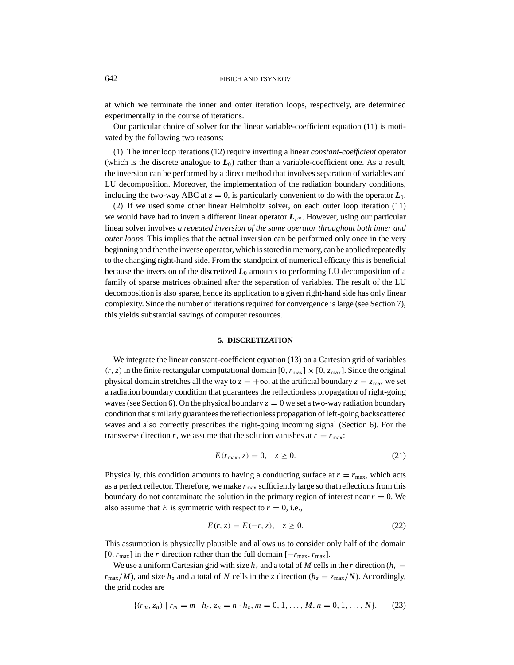at which we terminate the inner and outer iteration loops, respectively, are determined experimentally in the course of iterations.

Our particular choice of solver for the linear variable-coefficient equation (11) is motivated by the following two reasons:

(1) The inner loop iterations (12) require inverting a linear *constant-coefficient* operator (which is the discrete analogue to  $L_0$ ) rather than a variable-coefficient one. As a result, the inversion can be performed by a direct method that involves separation of variables and LU decomposition. Moreover, the implementation of the radiation boundary conditions, including the two-way ABC at  $z = 0$ , is particularly convenient to do with the operator  $L_0$ .

(2) If we used some other linear Helmholtz solver, on each outer loop iteration (11) we would have had to invert a different linear operator  $L_{F<sup>n</sup>}$ . However, using our particular linear solver involves *a repeated inversion of the same operator throughout both inner and outer loops*. This implies that the actual inversion can be performed only once in the very beginning and then the inverse operator, which is stored in memory, can be applied repeatedly to the changing right-hand side. From the standpoint of numerical efficacy this is beneficial because the inversion of the discretized  $L_0$  amounts to performing LU decomposition of a family of sparse matrices obtained after the separation of variables. The result of the LU decomposition is also sparse, hence its application to a given right-hand side has only linear complexity. Since the number of iterations required for convergence is large (see Section 7), this yields substantial savings of computer resources.

#### **5. DISCRETIZATION**

We integrate the linear constant-coefficient equation (13) on a Cartesian grid of variables  $(r, z)$  in the finite rectangular computational domain  $[0, r_{\text{max}}] \times [0, z_{\text{max}}]$ . Since the original physical domain stretches all the way to  $z = +\infty$ , at the artificial boundary  $z = z_{\text{max}}$  we set a radiation boundary condition that guarantees the reflectionless propagation of right-going waves (see Section 6). On the physical boundary  $z = 0$  we set a two-way radiation boundary condition that similarly guarantees the reflectionless propagation of left-going backscattered waves and also correctly prescribes the right-going incoming signal (Section 6). For the transverse direction *r*, we assume that the solution vanishes at  $r = r_{\text{max}}$ .

$$
E(r_{\text{max}}, z) = 0, \quad z \ge 0. \tag{21}
$$

Physically, this condition amounts to having a conducting surface at  $r = r_{\text{max}}$ , which acts as a perfect reflector. Therefore, we make  $r_{\text{max}}$  sufficiently large so that reflections from this boundary do not contaminate the solution in the primary region of interest near  $r = 0$ . We also assume that *E* is symmetric with respect to  $r = 0$ , i.e.,

$$
E(r, z) = E(-r, z), \quad z \ge 0.
$$
 (22)

This assumption is physically plausible and allows us to consider only half of the domain  $[0, r_{\text{max}}]$  in the *r* direction rather than the full domain  $[-r_{\text{max}}, r_{\text{max}}]$ .

We use a uniform Cartesian grid with size  $h_r$  and a total of M cells in the r direction ( $h_r =$  $r_{\text{max}}/M$ ), and size  $h_z$  and a total of *N* cells in the *z* direction ( $h_z = z_{\text{max}}/N$ ). Accordingly, the grid nodes are

$$
\{(r_m, z_n) \mid r_m = m \cdot h_r, z_n = n \cdot h_z, m = 0, 1, \dots, M, n = 0, 1, \dots, N\}.
$$
 (23)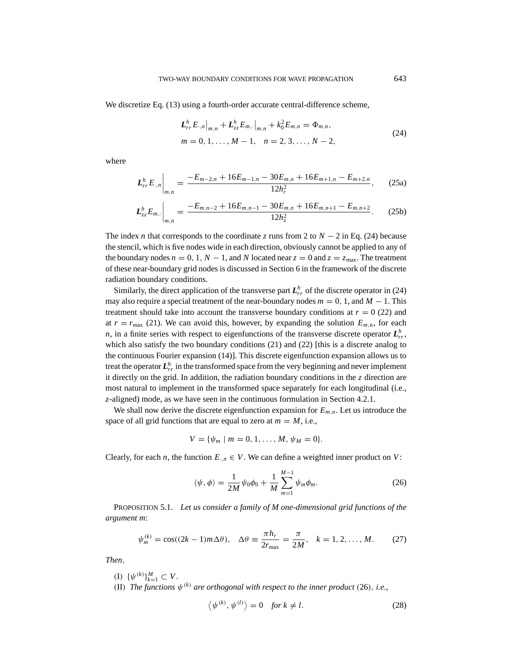We discretize Eq. (13) using a fourth-order accurate central-difference scheme,

$$
L_{rr}^{h} E_{\cdot,n} \big|_{m,n} + L_{zz}^{h} E_{m,\cdot} \big|_{m,n} + k_0^2 E_{m,n} = \Phi_{m,n},
$$
  
\n
$$
m = 0, 1, \dots, M - 1, \quad n = 2, 3, \dots, N - 2,
$$
\n(24)

where

$$
L_{rr}^{h}E_{\cdot,n}\bigg|_{m,n} = \frac{-E_{m-2,n} + 16E_{m-1,n} - 30E_{m,n} + 16E_{m+1,n} - E_{m+2,n}}{12h_r^2},\qquad(25a)
$$

$$
L_{zz}^{h}E_{m,\cdot}\bigg|_{m,n} = \frac{-E_{m,n-2} + 16E_{m,n-1} - 30E_{m,n} + 16E_{m,n+1} - E_{m,n+2}}{12h_z^2}.
$$
 (25b)

The index *n* that corresponds to the coordinate *z* runs from 2 to *N* − 2 in Eq. (24) because the stencil, which is five nodes wide in each direction, obviously cannot be applied to any of the boundary nodes  $n = 0, 1, N - 1$ , and *N* located near  $z = 0$  and  $z = z_{\text{max}}$ . The treatment of these near-boundary grid nodes is discussed in Section 6 in the framework of the discrete radiation boundary conditions.

Similarly, the direct application of the transverse part  $L_{rr}^h$  of the discrete operator in (24) may also require a special treatment of the near-boundary nodes  $m = 0, 1$ , and  $M - 1$ . This treatment should take into account the transverse boundary conditions at  $r = 0$  (22) and at  $r = r_{\text{max}}$  (21). We can avoid this, however, by expanding the solution  $E_{m,n}$ , for each *n*, in a finite series with respect to eigenfunctions of the transverse discrete operator  $L^h_{rr}$ , which also satisfy the two boundary conditions (21) and (22) [this is a discrete analog to the continuous Fourier expansion (14)]. This discrete eigenfunction expansion allows us to treat the operator  $\boldsymbol{L}_{rr}^h$  in the transformed space from the very beginning and never implement it directly on the grid. In addition, the radiation boundary conditions in the *z* direction are most natural to implement in the transformed space separately for each longitudinal (i.e., *z*-aligned) mode, as we have seen in the continuous formulation in Section 4.2.1.

We shall now derive the discrete eigenfunction expansion for  $E_{m,n}$ . Let us introduce the space of all grid functions that are equal to zero at  $m = M$ , i.e.,

$$
V = \{ \psi_m \mid m = 0, 1, \ldots, M, \psi_M = 0 \}.
$$

Clearly, for each *n*, the function  $E_{n} \in V$ . We can define a weighted inner product on *V*:

$$
\langle \psi, \phi \rangle = \frac{1}{2M} \psi_0 \phi_0 + \frac{1}{M} \sum_{m=1}^{M-1} \psi_m \phi_m.
$$
 (26)

PROPOSITION 5.1. *Let us consider a family of M one-dimensional grid functions of the argument m*:

$$
\psi_m^{(k)} = \cos((2k-1)m\Delta\theta), \quad \Delta\theta \equiv \frac{\pi h_r}{2r_{\text{max}}} = \frac{\pi}{2M}, \quad k = 1, 2, \dots, M. \tag{27}
$$

*Then*,

(I)  $\{\psi^{(k)}\}_{k=1}^M \subset V$ . (II) *The functions*  $\psi^{(k)}$  *are orthogonal with respect to the inner product* (26), *i.e.*,

$$
\langle \psi^{(k)}, \psi^{(l)} \rangle = 0 \quad \text{for } k \neq l. \tag{28}
$$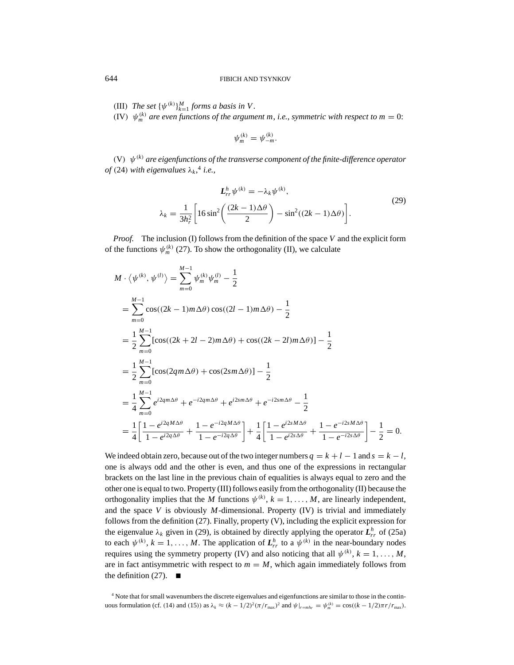(III) *The set*  $\{\psi^{(k)}\}_{k=1}^M$  *forms a basis in V*.

(IV)  $\psi_{m}^{(k)}$  are even functions of the argument m, *i.e.*, *symmetric with respect to m* = 0:

$$
\psi_m^{(k)} = \psi_{-m}^{(k)}.
$$

(V) ψ(*k*) *are eigenfunctions of the transverse component of the finite-difference operator of* (24) with eigenvalues  $\lambda_k$ ,<sup>4</sup> i.e.,

$$
L_{rr}^{h}\psi^{(k)} = -\lambda_{k}\psi^{(k)},
$$
  

$$
\lambda_{k} = \frac{1}{3h_{r}^{2}} \left[ 16\sin^{2}\left(\frac{(2k-1)\Delta\theta}{2}\right) - \sin^{2}((2k-1)\Delta\theta) \right].
$$
 (29)

*Proof.* The inclusion (I) follows from the definition of the space *V* and the explicit form of the functions  $\psi_m^{(k)}$  (27). To show the orthogonality (II), we calculate

$$
M \cdot \langle \psi^{(k)}, \psi^{(l)} \rangle = \sum_{m=0}^{M-1} \psi_m^{(k)} \psi_m^{(l)} - \frac{1}{2}
$$
  
\n
$$
= \sum_{m=0}^{M-1} \cos((2k-1)m\Delta\theta)\cos((2l-1)m\Delta\theta) - \frac{1}{2}
$$
  
\n
$$
= \frac{1}{2} \sum_{m=0}^{M-1} [\cos((2k+2l-2)m\Delta\theta) + \cos((2k-2l)m\Delta\theta)] - \frac{1}{2}
$$
  
\n
$$
= \frac{1}{2} \sum_{m=0}^{M-1} [\cos(2qm\Delta\theta) + \cos(2sm\Delta\theta)] - \frac{1}{2}
$$
  
\n
$$
= \frac{1}{4} \sum_{m=0}^{M-1} e^{i2qm\Delta\theta} + e^{-i2qm\Delta\theta} + e^{i2sm\Delta\theta} + e^{-i2sm\Delta\theta} - \frac{1}{2}
$$
  
\n
$$
= \frac{1}{4} \left[ \frac{1 - e^{i2qM\Delta\theta}}{1 - e^{i2q\Delta\theta}} + \frac{1 - e^{-i2qM\Delta\theta}}{1 - e^{-i2q\Delta\theta}} \right] + \frac{1}{4} \left[ \frac{1 - e^{i2sM\Delta\theta}}{1 - e^{i2s\Delta\theta}} + \frac{1 - e^{-i2sM\Delta\theta}}{1 - e^{-i2s\Delta\theta}} \right] - \frac{1}{2} = 0.
$$

We indeed obtain zero, because out of the two integer numbers  $q = k + l - 1$  and  $s = k - l$ , one is always odd and the other is even, and thus one of the expressions in rectangular brackets on the last line in the previous chain of equalities is always equal to zero and the other one is equal to two. Property (III) follows easily from the orthogonality (II) because the orthogonality implies that the *M* functions  $\psi^{(k)}$ ,  $k = 1, ..., M$ , are linearly independent, and the space *V* is obviously *M*-dimensional. Property (IV) is trivial and immediately follows from the definition (27). Finally, property (V), including the explicit expression for the eigenvalue  $\lambda_k$  given in (29), is obtained by directly applying the operator  $L^h_{rr}$  of (25a) to each  $\psi^{(k)}$ ,  $k = 1, ..., M$ . The application of  $L_{rr}^h$  to a  $\psi^{(k)}$  in the near-boundary nodes requires using the symmetry property (IV) and also noticing that all  $\psi^{(k)}$ ,  $k = 1, ..., M$ , are in fact antisymmetric with respect to  $m = M$ , which again immediately follows from the definition  $(27)$ .

<sup>4</sup> Note that for small wavenumbers the discrete eigenvalues and eigenfunctions are similar to those in the continuous formulation (cf. (14) and (15)) as  $\lambda_k \approx (k - 1/2)^2 (\pi / r_{\text{max}})^2$  and  $\psi|_{r=mh_r} = \psi_m^{(k)} = \cos((k - 1/2)\pi r / r_{\text{max}})$ .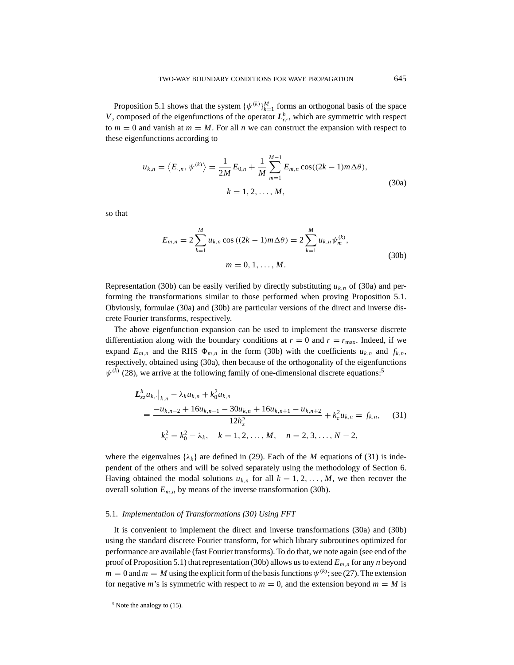Proposition 5.1 shows that the system  $\{\psi^{(k)}\}_{k=1}^M$  forms an orthogonal basis of the space *V*, composed of the eigenfunctions of the operator  $L_h^h$ , which are symmetric with respect to  $m = 0$  and vanish at  $m = M$ . For all *n* we can construct the expansion with respect to these eigenfunctions according to

$$
u_{k,n} = \langle E_{\cdot,n}, \psi^{(k)} \rangle = \frac{1}{2M} E_{0,n} + \frac{1}{M} \sum_{m=1}^{M-1} E_{m,n} \cos((2k-1)m\Delta\theta),
$$
  

$$
k = 1, 2, ..., M,
$$
 (30a)

so that

$$
E_{m,n} = 2\sum_{k=1}^{M} u_{k,n} \cos((2k-1)m\Delta\theta) = 2\sum_{k=1}^{M} u_{k,n} \psi_m^{(k)},
$$
  
\n
$$
m = 0, 1, ..., M.
$$
\n(30b)

Representation (30b) can be easily verified by directly substituting  $u_{k,n}$  of (30a) and performing the transformations similar to those performed when proving Proposition 5.1. Obviously, formulae (30a) and (30b) are particular versions of the direct and inverse discrete Fourier transforms, respectively.

The above eigenfunction expansion can be used to implement the transverse discrete differentiation along with the boundary conditions at  $r = 0$  and  $r = r_{\text{max}}$ . Indeed, if we expand  $E_{m,n}$  and the RHS  $\Phi_{m,n}$  in the form (30b) with the coefficients  $u_{k,n}$  and  $f_{k,n}$ , respectively, obtained using (30a), then because of the orthogonality of the eigenfunctions  $\psi^{(k)}$  (28), we arrive at the following family of one-dimensional discrete equations:<sup>5</sup>

$$
L_{zz}^{h} u_{k,\cdot}|_{k,n} - \lambda_{k} u_{k,n} + k_{0}^{2} u_{k,n}
$$
  
\n
$$
\equiv \frac{-u_{k,n-2} + 16u_{k,n-1} - 30u_{k,n} + 16u_{k,n+1} - u_{k,n+2}}{12h_{z}^{2}} + k_{c}^{2} u_{k,n} = f_{k,n}, \quad (31)
$$
  
\n
$$
k_{c}^{2} = k_{0}^{2} - \lambda_{k}, \quad k = 1, 2, ..., M, \quad n = 2, 3, ..., N - 2,
$$

where the eigenvalues  $\{\lambda_k\}$  are defined in (29). Each of the *M* equations of (31) is independent of the others and will be solved separately using the methodology of Section 6. Having obtained the modal solutions  $u_{k,n}$  for all  $k = 1, 2, ..., M$ , we then recover the overall solution  $E_{m,n}$  by means of the inverse transformation (30b).

#### 5.1. *Implementation of Transformations (30) Using FFT*

It is convenient to implement the direct and inverse transformations (30a) and (30b) using the standard discrete Fourier transform, for which library subroutines optimized for performance are available (fast Fourier transforms). To do that, we note again (see end of the proof of Proposition 5.1) that representation (30b) allows us to extend *Em*,*<sup>n</sup>* for any *n* beyond  $m = 0$  and  $m = M$  using the explicit form of the basis functions  $\psi^{(k)}$ ; see (27). The extension for negative *m*'s is symmetric with respect to  $m = 0$ , and the extension beyond  $m = M$  is

<sup>5</sup> Note the analogy to (15).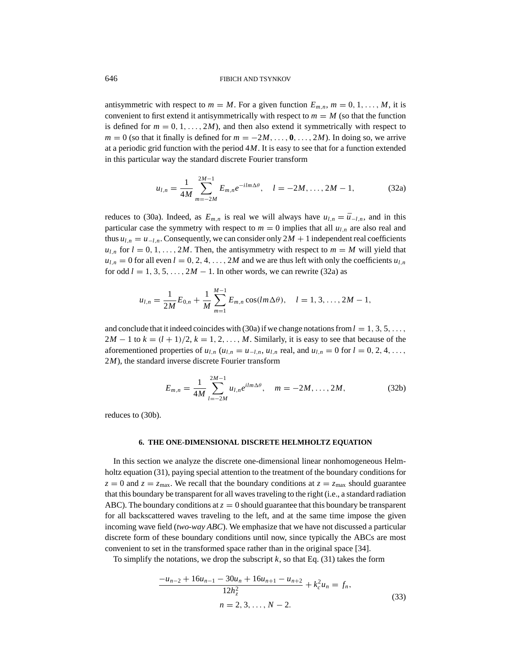antisymmetric with respect to  $m = M$ . For a given function  $E_{m,n}$ ,  $m = 0, 1, \ldots, M$ , it is convenient to first extend it antisymmetrically with respect to  $m = M$  (so that the function is defined for  $m = 0, 1, \ldots, 2M$ , and then also extend it symmetrically with respect to  $m = 0$  (so that it finally is defined for  $m = -2M, \ldots, 0, \ldots, 2M$ ). In doing so, we arrive at a periodic grid function with the period 4*M*. It is easy to see that for a function extended in this particular way the standard discrete Fourier transform

$$
u_{l,n} = \frac{1}{4M} \sum_{m=-2M}^{2M-1} E_{m,n} e^{-ilm\Delta\theta}, \quad l = -2M, \dots, 2M-1,
$$
 (32a)

reduces to (30a). Indeed, as  $E_{m,n}$  is real we will always have  $u_{l,n} = \bar{u}_{-l,n}$ , and in this particular case the symmetry with respect to  $m = 0$  implies that all  $u_{l,n}$  are also real and thus  $u_{l,n} = u_{-l,n}$ . Consequently, we can consider only  $2M + 1$  independent real coefficients  $u_{l,n}$  for  $l = 0, 1, \ldots, 2M$ . Then, the antisymmetry with respect to  $m = M$  will yield that  $u_{l,n} = 0$  for all even  $l = 0, 2, 4, \ldots, 2M$  and we are thus left with only the coefficients  $u_{l,n}$ for odd  $l = 1, 3, 5, \ldots, 2M - 1$ . In other words, we can rewrite (32a) as

$$
u_{l,n} = \frac{1}{2M} E_{0,n} + \frac{1}{M} \sum_{m=1}^{M-1} E_{m,n} \cos(lm\Delta\theta), \quad l = 1, 3, ..., 2M - 1,
$$

and conclude that it indeed coincides with (30a) if we change notations from  $l = 1, 3, 5, \ldots$ ,  $2M - 1$  to  $k = (l + 1)/2$ ,  $k = 1, 2, ..., M$ . Similarly, it is easy to see that because of the aforementioned properties of  $u_{l,n}$  ( $u_{l,n} = u_{-l,n}$ ,  $u_{l,n}$  real, and  $u_{l,n} = 0$  for  $l = 0, 2, 4, \ldots$ , 2*M*), the standard inverse discrete Fourier transform

$$
E_{m,n} = \frac{1}{4M} \sum_{l=-2M}^{2M-1} u_{l,n} e^{ilm\Delta\theta}, \quad m = -2M, \dots, 2M,
$$
 (32b)

reduces to (30b).

## **6. THE ONE-DIMENSIONAL DISCRETE HELMHOLTZ EQUATION**

In this section we analyze the discrete one-dimensional linear nonhomogeneous Helmholtz equation (31), paying special attention to the treatment of the boundary conditions for  $z = 0$  and  $z = z_{\text{max}}$ . We recall that the boundary conditions at  $z = z_{\text{max}}$  should guarantee that this boundary be transparent for all waves traveling to the right (i.e., a standard radiation ABC). The boundary conditions at  $z = 0$  should guarantee that this boundary be transparent for all backscattered waves traveling to the left, and at the same time impose the given incoming wave field (*two-way ABC*). We emphasize that we have not discussed a particular discrete form of these boundary conditions until now, since typically the ABCs are most convenient to set in the transformed space rather than in the original space [34].

To simplify the notations, we drop the subscript  $k$ , so that Eq. (31) takes the form

$$
\frac{-u_{n-2} + 16u_{n-1} - 30u_n + 16u_{n+1} - u_{n+2}}{12h_z^2} + k_c^2 u_n = f_n,
$$
  
\n
$$
n = 2, 3, ..., N - 2.
$$
\n(33)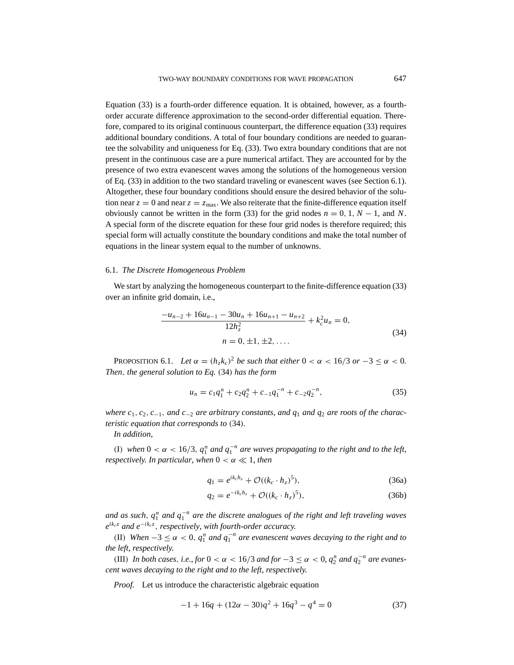Equation (33) is a fourth-order difference equation. It is obtained, however, as a fourthorder accurate difference approximation to the second-order differential equation. Therefore, compared to its original continuous counterpart, the difference equation (33) requires additional boundary conditions. A total of four boundary conditions are needed to guarantee the solvability and uniqueness for Eq. (33). Two extra boundary conditions that are not present in the continuous case are a pure numerical artifact. They are accounted for by the presence of two extra evanescent waves among the solutions of the homogeneous version of Eq. (33) in addition to the two standard traveling or evanescent waves (see Section 6.1). Altogether, these four boundary conditions should ensure the desired behavior of the solution near  $z = 0$  and near  $z = z_{\text{max}}$ . We also reiterate that the finite-difference equation itself obviously cannot be written in the form (33) for the grid nodes  $n = 0, 1, N - 1$ , and N. A special form of the discrete equation for these four grid nodes is therefore required; this special form will actually constitute the boundary conditions and make the total number of equations in the linear system equal to the number of unknowns.

## 6.1. *The Discrete Homogeneous Problem*

We start by analyzing the homogeneous counterpart to the finite-difference equation (33) over an infinite grid domain, i.e.,

$$
\frac{-u_{n-2} + 16u_{n-1} - 30u_n + 16u_{n+1} - u_{n+2}}{12h_z^2} + k_c^2 u_n = 0,
$$
  
\n
$$
n = 0, \pm 1, \pm 2, ....
$$
\n(34)

PROPOSITION 6.1. *Let*  $\alpha = (h_z k_c)^2$  *be such that either*  $0 < \alpha < 16/3$  *or*  $-3 \le \alpha < 0$ *. Then*, *the general solution to Eq.* (34) *has the form*

$$
u_n = c_1 q_1^n + c_2 q_2^n + c_{-1} q_1^{-n} + c_{-2} q_2^{-n}, \tag{35}
$$

*where*  $c_1, c_2, c_{-1}$ , *and*  $c_{-2}$  *are arbitrary constants, and*  $q_1$  *and*  $q_2$  *are roots of the characteristic equation that corresponds to* (34)*.*

*In addition*,

(I) when  $0 < \alpha < 16/3$ ,  $q_1^n$  and  $q_1^{-n}$  are waves propagating to the right and to the left, *respectively. In particular, when*  $0 < \alpha \ll 1$ *, then* 

$$
q_1 = e^{ik_c h_z} + \mathcal{O}((k_c \cdot h_z)^5), \tag{36a}
$$

$$
q_2 = e^{-ik_c h_z} + \mathcal{O}((k_c \cdot h_z)^5), \tag{36b}
$$

*and as such,*  $q_1^n$  *and*  $q_1^{-n}$  *are the discrete analogues of the right and left traveling waves eikc <sup>z</sup> and e*<sup>−</sup>*ikc <sup>z</sup>* , *respectively*, *with fourth-order accuracy.*

(II) *When*  $-3 ≤ α < 0$ ,  $q_1^n$  *and*  $q_1^{-n}$  *are evanescent waves decaying to the right and to the left*, *respectively.*

(III) *In both cases, i.e., for*  $0 < \alpha < 16/3$  *and for*  $-3 \le \alpha < 0$ ,  $q_2^n$  *and*  $q_2^{-n}$  *are evanescent waves decaying to the right and to the left*, *respectively.*

*Proof.* Let us introduce the characteristic algebraic equation

$$
-1 + 16q + (12\alpha - 30)q^{2} + 16q^{3} - q^{4} = 0
$$
\n(37)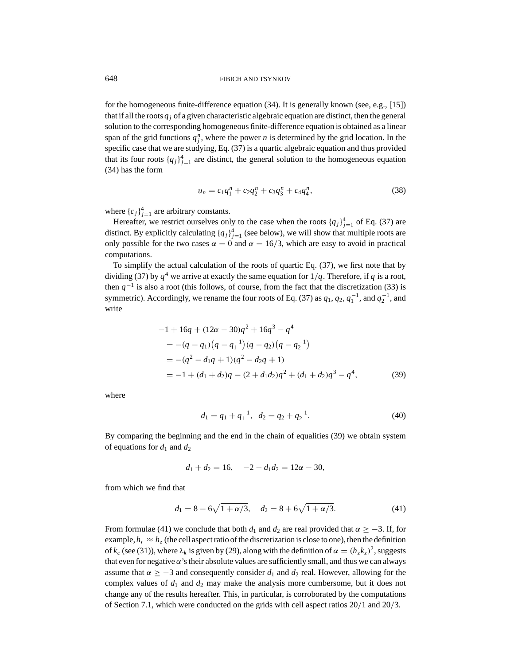for the homogeneous finite-difference equation (34). It is generally known (see, e.g., [15]) that if all the roots  $q_i$  of a given characteristic algebraic equation are distinct, then the general solution to the corresponding homogeneous finite-difference equation is obtained as a linear span of the grid functions  $q_j^n$ , where the power *n* is determined by the grid location. In the specific case that we are studying, Eq. (37) is a quartic algebraic equation and thus provided that its four roots  ${q_j}_{j=1}^4$  are distinct, the general solution to the homogeneous equation (34) has the form

$$
u_n = c_1 q_1^n + c_2 q_2^n + c_3 q_3^n + c_4 q_4^n,
$$
\n(38)

where  ${c_j}_{j=1}^4$  are arbitrary constants.

Hereafter, we restrict ourselves only to the case when the roots  $\{q_j\}_{j=1}^4$  of Eq. (37) are distinct. By explicitly calculating  ${q_j}_{j=1}^4$  (see below), we will show that multiple roots are only possible for the two cases  $\alpha = 0$  and  $\alpha = 16/3$ , which are easy to avoid in practical computations.

To simplify the actual calculation of the roots of quartic Eq. (37), we first note that by dividing (37) by  $q^4$  we arrive at exactly the same equation for  $1/q$ . Therefore, if q is a root, then  $q^{-1}$  is also a root (this follows, of course, from the fact that the discretization (33) is symmetric). Accordingly, we rename the four roots of Eq. (37) as  $q_1$ ,  $q_2$ ,  $q_1^{-1}$ , and  $q_2^{-1}$ , and write

$$
-1 + 16q + (12\alpha - 30)q^{2} + 16q^{3} - q^{4}
$$
  
= -(q - q<sub>1</sub>)(q - q<sub>1</sub><sup>-1</sup>)(q - q<sub>2</sub>)(q - q<sub>2</sub><sup>-1</sup>)  
= -(q<sup>2</sup> - d<sub>1</sub>q + 1)(q<sup>2</sup> - d<sub>2</sub>q + 1)  
= -1 + (d<sub>1</sub> + d<sub>2</sub>)q - (2 + d<sub>1</sub>d<sub>2</sub>)q<sup>2</sup> + (d<sub>1</sub> + d<sub>2</sub>)q<sup>3</sup> - q<sup>4</sup>, (39)

where

$$
d_1 = q_1 + q_1^{-1}, \ \ d_2 = q_2 + q_2^{-1}.
$$
\n<sup>(40)</sup>

By comparing the beginning and the end in the chain of equalities (39) we obtain system of equations for  $d_1$  and  $d_2$ 

$$
d_1 + d_2 = 16, \quad -2 - d_1 d_2 = 12\alpha - 30,
$$

from which we find that

$$
d_1 = 8 - 6\sqrt{1 + \alpha/3}, \quad d_2 = 8 + 6\sqrt{1 + \alpha/3}.
$$
 (41)

From formulae (41) we conclude that both  $d_1$  and  $d_2$  are real provided that  $\alpha \geq -3$ . If, for example,  $h_r \approx h_z$  (the cell aspect ratio of the discretization is close to one), then the definition of  $k_c$  (see (31)), where  $\lambda_k$  is given by (29), along with the definition of  $\alpha = (h_z k_z)^2$ , suggests that even for negative  $\alpha$ 's their absolute values are sufficiently small, and thus we can always assume that  $\alpha \ge -3$  and consequently consider  $d_1$  and  $d_2$  real. However, allowing for the complex values of  $d_1$  and  $d_2$  may make the analysis more cumbersome, but it does not change any of the results hereafter. This, in particular, is corroborated by the computations of Section 7.1, which were conducted on the grids with cell aspect ratios 20/1 and 20/3.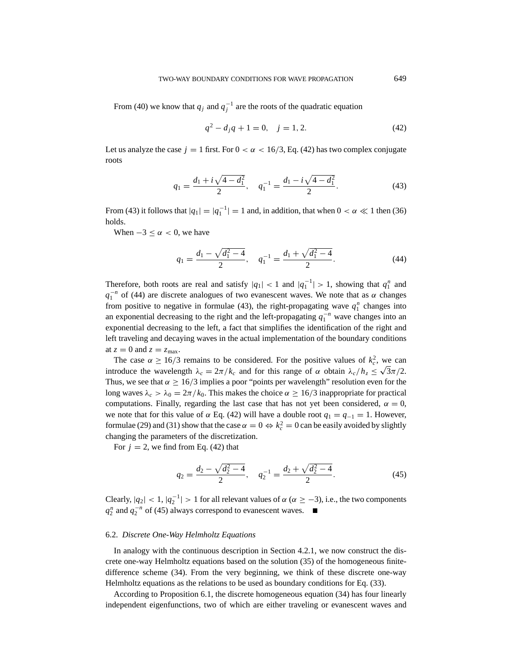From (40) we know that  $q_j$  and  $q_j^{-1}$  are the roots of the quadratic equation

$$
q^2 - d_j q + 1 = 0, \quad j = 1, 2. \tag{42}
$$

Let us analyze the case  $j = 1$  first. For  $0 < \alpha < 16/3$ , Eq. (42) has two complex conjugate roots

$$
q_1 = \frac{d_1 + i\sqrt{4 - d_1^2}}{2}, \quad q_1^{-1} = \frac{d_1 - i\sqrt{4 - d_1^2}}{2}.
$$
 (43)

From (43) it follows that  $|q_1| = |q_1^{-1}| = 1$  and, in addition, that when  $0 < \alpha \ll 1$  then (36) holds.

When  $-3 \leq \alpha < 0$ , we have

$$
q_1 = \frac{d_1 - \sqrt{d_1^2 - 4}}{2}, \quad q_1^{-1} = \frac{d_1 + \sqrt{d_1^2 - 4}}{2}.
$$
 (44)

Therefore, both roots are real and satisfy  $|q_1| < 1$  and  $|q_1^{-1}| > 1$ , showing that  $q_1^n$  and  $q_1^{-n}$  of (44) are discrete analogues of two evanescent waves. We note that as  $\alpha$  changes from positive to negative in formulae (43), the right-propagating wave  $q_1^n$  changes into an exponential decreasing to the right and the left-propagating  $q_1^{-n}$  wave changes into an exponential decreasing to the left, a fact that simplifies the identification of the right and left traveling and decaying waves in the actual implementation of the boundary conditions at  $z = 0$  and  $z = z_{\text{max}}$ .

The case  $\alpha \ge 16/3$  remains to be considered. For the positive values of  $k_c^2$ , we can introduce the wavelength  $\lambda_c = 2\pi/k_c$  and for this range of  $\alpha$  obtain  $\lambda_c/h_z \le \sqrt{3\pi/2}$ . Thus, we see that  $\alpha \ge 16/3$  implies a poor "points per wavelength" resolution even for the long waves  $\lambda_c > \lambda_0 = 2\pi/k_0$ . This makes the choice  $\alpha \ge 16/3$  inappropriate for practical computations. Finally, regarding the last case that has not yet been considered,  $\alpha = 0$ , we note that for this value of  $\alpha$  Eq. (42) will have a double root  $q_1 = q_{-1} = 1$ . However, formulae (29) and (31) show that the case  $\alpha = 0 \Leftrightarrow k_c^2 = 0$  can be easily avoided by slightly changing the parameters of the discretization.

For  $j = 2$ , we find from Eq. (42) that

$$
q_2 = \frac{d_2 - \sqrt{d_2^2 - 4}}{2}, \quad q_2^{-1} = \frac{d_2 + \sqrt{d_2^2 - 4}}{2}.
$$
 (45)

Clearly,  $|q_2| < 1$ ,  $|q_2^{-1}| > 1$  for all relevant values of  $\alpha (\alpha \geq -3)$ , i.e., the two components  $q_2^n$  and  $q_2^{-n}$  of (45) always correspond to evanescent waves. ■

## 6.2. *Discrete One-Way Helmholtz Equations*

In analogy with the continuous description in Section 4.2.1, we now construct the discrete one-way Helmholtz equations based on the solution (35) of the homogeneous finitedifference scheme (34). From the very beginning, we think of these discrete one-way Helmholtz equations as the relations to be used as boundary conditions for Eq. (33).

According to Proposition 6.1, the discrete homogeneous equation (34) has four linearly independent eigenfunctions, two of which are either traveling or evanescent waves and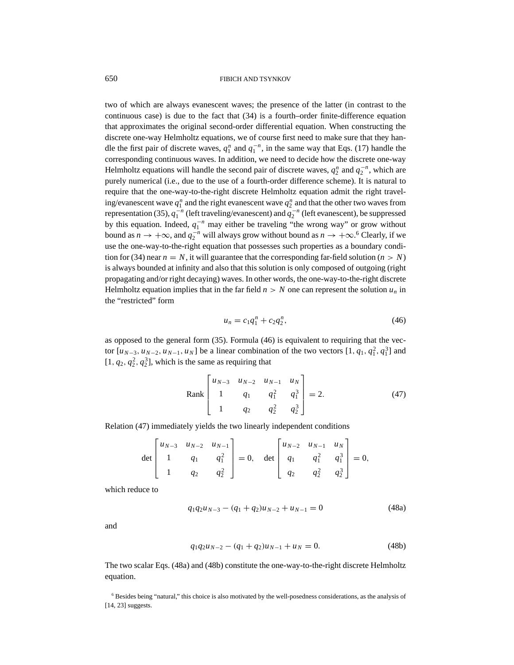two of which are always evanescent waves; the presence of the latter (in contrast to the continuous case) is due to the fact that (34) is a fourth–order finite-difference equation that approximates the original second-order differential equation. When constructing the discrete one-way Helmholtz equations, we of course first need to make sure that they handle the first pair of discrete waves,  $q_1^n$  and  $q_1^{-n}$ , in the same way that Eqs. (17) handle the corresponding continuous waves. In addition, we need to decide how the discrete one-way Helmholtz equations will handle the second pair of discrete waves,  $q_2^n$  and  $q_2^{-n}$ , which are purely numerical (i.e., due to the use of a fourth-order difference scheme). It is natural to require that the one-way-to-the-right discrete Helmholtz equation admit the right traveling/evanescent wave  $q_1^n$  and the right evanescent wave  $q_2^n$  and that the other two waves from representation (35),  $q_1^{-n}$  (left traveling/evanescent) and  $q_2^{-n}$  (left evanescent), be suppressed by this equation. Indeed,  $q_1^{-n}$  may either be traveling "the wrong way" or grow without bound as  $n \to +\infty$ , and  $q_2^{-n}$  will always grow without bound as  $n \to +\infty$ .<sup>6</sup> Clearly, if we use the one-way-to-the-right equation that possesses such properties as a boundary condition for (34) near  $n = N$ , it will guarantee that the corresponding far-field solution ( $n > N$ ) is always bounded at infinity and also that this solution is only composed of outgoing (right propagating and/or right decaying) waves. In other words, the one-way-to-the-right discrete Helmholtz equation implies that in the far field  $n > N$  one can represent the solution  $u_n$  in the "restricted" form

$$
u_n = c_1 q_1^n + c_2 q_2^n, \tag{46}
$$

as opposed to the general form (35). Formula (46) is equivalent to requiring that the vector  $[u_{N-3}, u_{N-2}, u_{N-1}, u_N]$  be a linear combination of the two vectors  $[1, q_1, q_1^2, q_1^3]$  and  $[1, q_2, q_2^2, q_2^3]$ , which is the same as requiring that

Rank 
$$
\begin{bmatrix} u_{N-3} & u_{N-2} & u_{N-1} & u_N \ 1 & q_1 & q_1^2 & q_1^3 \ 1 & q_2 & q_2^2 & q_2^3 \end{bmatrix} = 2.
$$
 (47)

Relation (47) immediately yields the two linearly independent conditions

$$
\det\begin{bmatrix} u_{N-3} & u_{N-2} & u_{N-1} \\ 1 & q_1 & q_1^2 \\ 1 & q_2 & q_2^2 \end{bmatrix} = 0, \quad \det\begin{bmatrix} u_{N-2} & u_{N-1} & u_N \\ q_1 & q_1^2 & q_1^3 \\ q_2 & q_2^2 & q_2^3 \end{bmatrix} = 0,
$$

which reduce to

$$
q_1 q_2 u_{N-3} - (q_1 + q_2) u_{N-2} + u_{N-1} = 0 \tag{48a}
$$

and

$$
q_1 q_2 u_{N-2} - (q_1 + q_2) u_{N-1} + u_N = 0.
$$
 (48b)

The two scalar Eqs. (48a) and (48b) constitute the one-way-to-the-right discrete Helmholtz equation.

<sup>6</sup> Besides being "natural," this choice is also motivated by the well-posedness considerations, as the analysis of [14, 23] suggests.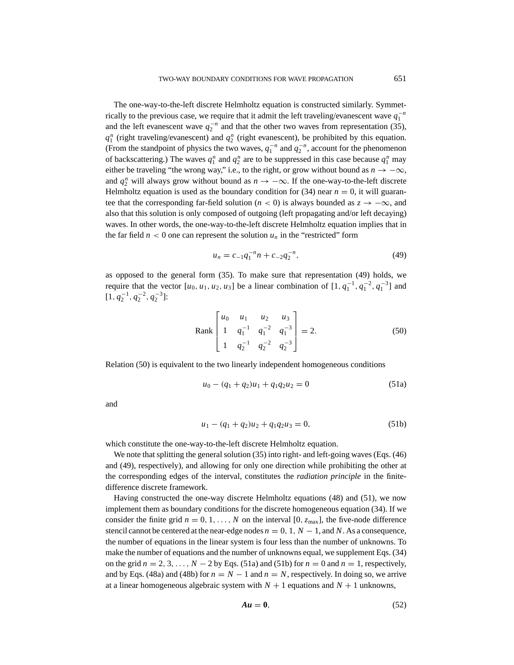The one-way-to-the-left discrete Helmholtz equation is constructed similarly. Symmetrically to the previous case, we require that it admit the left traveling/evanescent wave  $q_1^{-n}$ and the left evanescent wave  $q_2^{-n}$  and that the other two waves from representation (35),  $q_1^n$  (right traveling/evanescent) and  $q_2^n$  (right evanescent), be prohibited by this equation. (From the standpoint of physics the two waves,  $q_1^{-n}$  and  $q_2^{-n}$ , account for the phenomenon of backscattering.) The waves  $q_1^n$  and  $q_2^n$  are to be suppressed in this case because  $q_1^n$  may either be traveling "the wrong way," i.e., to the right, or grow without bound as  $n \to -\infty$ , and  $q_2^n$  will always grow without bound as  $n \to -\infty$ . If the one-way-to-the-left discrete Helmholtz equation is used as the boundary condition for  $(34)$  near  $n = 0$ , it will guarantee that the corresponding far-field solution ( $n < 0$ ) is always bounded as  $z \rightarrow -\infty$ , and also that this solution is only composed of outgoing (left propagating and/or left decaying) waves. In other words, the one-way-to-the-left discrete Helmholtz equation implies that in the far field  $n < 0$  one can represent the solution  $u_n$  in the "restricted" form

$$
u_n = c_{-1}q_1^{-n}n + c_{-2}q_2^{-n}, \qquad (49)
$$

as opposed to the general form (35). To make sure that representation (49) holds, we require that the vector  $[u_0, u_1, u_2, u_3]$  be a linear combination of  $[1, q_1^{-1}, q_1^{-2}, q_1^{-3}]$  and  $[1, q_2^{-1}, q_2^{-2}, q_2^{-3}]$ :

Rank 
$$
\begin{bmatrix} u_0 & u_1 & u_2 & u_3 \ 1 & q_1^{-1} & q_1^{-2} & q_1^{-3} \ 1 & q_2^{-1} & q_2^{-2} & q_2^{-3} \end{bmatrix} = 2.
$$
 (50)

Relation (50) is equivalent to the two linearly independent homogeneous conditions

$$
u_0 - (q_1 + q_2)u_1 + q_1 q_2 u_2 = 0 \tag{51a}
$$

and

$$
u_1 - (q_1 + q_2)u_2 + q_1 q_2 u_3 = 0,
$$
\n(51b)

which constitute the one-way-to-the-left discrete Helmholtz equation.

We note that splitting the general solution (35) into right- and left-going waves (Eqs. (46) and (49), respectively), and allowing for only one direction while prohibiting the other at the corresponding edges of the interval, constitutes the *radiation principle* in the finitedifference discrete framework.

Having constructed the one-way discrete Helmholtz equations (48) and (51), we now implement them as boundary conditions for the discrete homogeneous equation (34). If we consider the finite grid  $n = 0, 1, \ldots, N$  on the interval [0,  $z_{\text{max}}$ ], the five-node difference stencil cannot be centered at the near-edge nodes  $n = 0, 1, N - 1$ , and *N*. As a consequence, the number of equations in the linear system is four less than the number of unknowns. To make the number of equations and the number of unknowns equal, we supplement Eqs. (34) on the grid  $n = 2, 3, \ldots, N - 2$  by Eqs. (51a) and (51b) for  $n = 0$  and  $n = 1$ , respectively, and by Eqs. (48a) and (48b) for  $n = N - 1$  and  $n = N$ , respectively. In doing so, we arrive at a linear homogeneous algebraic system with  $N + 1$  equations and  $N + 1$  unknowns,

$$
Au = 0,\t(52)
$$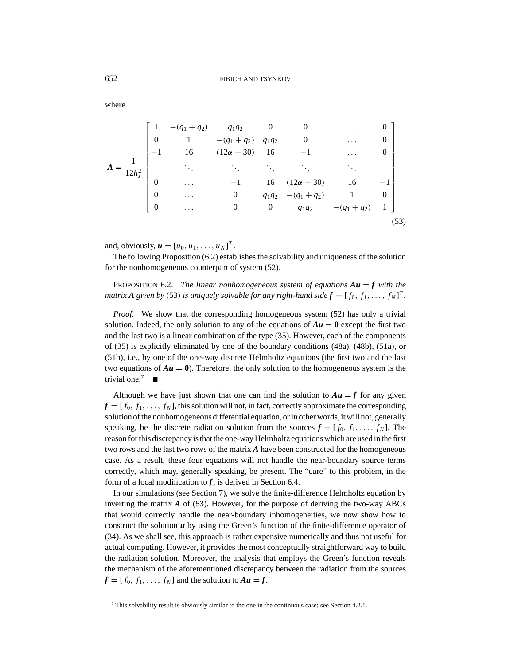where

|                  | $-(q_1+q_2)$ | $q_1q_2$          |                  | $\theta$               | $\cdots$     | O    |  |
|------------------|--------------|-------------------|------------------|------------------------|--------------|------|--|
| $\overline{0}$   |              | $-(q_1+q_2)$      | $q_1q_2$         | $\boldsymbol{0}$       | $\cdots$     | 0    |  |
|                  | 16           | $(12\alpha - 30)$ | 16               | $-1$                   | $\cdots$     | 0    |  |
|                  |              |                   |                  |                        |              |      |  |
| $\overline{0}$   | .            |                   | 16               | $(12\alpha - 30)$      | 16           |      |  |
| $\boldsymbol{0}$ | .            | $\boldsymbol{0}$  |                  | $q_1q_2 - (q_1 + q_2)$ |              | 0    |  |
| $\overline{0}$   | $\cdots$     | 0                 | $\boldsymbol{0}$ | $q_1q_2$               | $-(q_1+q_2)$ |      |  |
|                  |              |                   |                  |                        |              | (53) |  |

and, obviously,  $u = [u_0, u_1, \dots, u_N]^T$ .

The following Proposition (6.2) establishes the solvability and uniqueness of the solution for the nonhomogeneous counterpart of system (52).

PROPOSITION 6.2. *The linear nonhomogeneous system of equations*  $Au = f$  *with the matrix*  $A$  given by (53) is uniquely solvable for any right-hand side  $f = [f_0, f_1, \ldots, f_N]^T$ .

*Proof.* We show that the corresponding homogeneous system (52) has only a trivial solution. Indeed, the only solution to any of the equations of  $Au = 0$  except the first two and the last two is a linear combination of the type (35). However, each of the components of (35) is explicitly eliminated by one of the boundary conditions (48a), (48b), (51a), or (51b), i.e., by one of the one-way discrete Helmholtz equations (the first two and the last two equations of  $Au = 0$ ). Therefore, the only solution to the homogeneous system is the trivial one  $<sup>7</sup>$ </sup>

Although we have just shown that one can find the solution to  $Au = f$  for any given  $f = [f_0, f_1, \ldots, f_N]$ , this solution will not, in fact, correctly approximate the corresponding solution of the nonhomogeneous differential equation, or in other words, it will not, generally speaking, be the discrete radiation solution from the sources  $f = [f_0, f_1, \ldots, f_N]$ . The reason for this discrepancy is that the one-way Helmholtz equations which are used in the first two rows and the last two rows of the matrix *A* have been constructed for the homogeneous case. As a result, these four equations will not handle the near-boundary source terms correctly, which may, generally speaking, be present. The "cure" to this problem, in the form of a local modification to  $f$ , is derived in Section 6.4.

In our simulations (see Section 7), we solve the finite-difference Helmholtz equation by inverting the matrix *A* of (53). However, for the purpose of deriving the two-way ABCs that would correctly handle the near-boundary inhomogeneities, we now show how to construct the solution  *by using the Green's function of the finite-difference operator of* (34). As we shall see, this approach is rather expensive numerically and thus not useful for actual computing. However, it provides the most conceptually straightforward way to build the radiation solution. Moreover, the analysis that employs the Green's function reveals the mechanism of the aforementioned discrepancy between the radiation from the sources  $f = [f_0, f_1, \ldots, f_N]$  and the solution to  $Au = f$ .

<sup>7</sup> This solvability result is obviously similar to the one in the continuous case; see Section 4.2.1.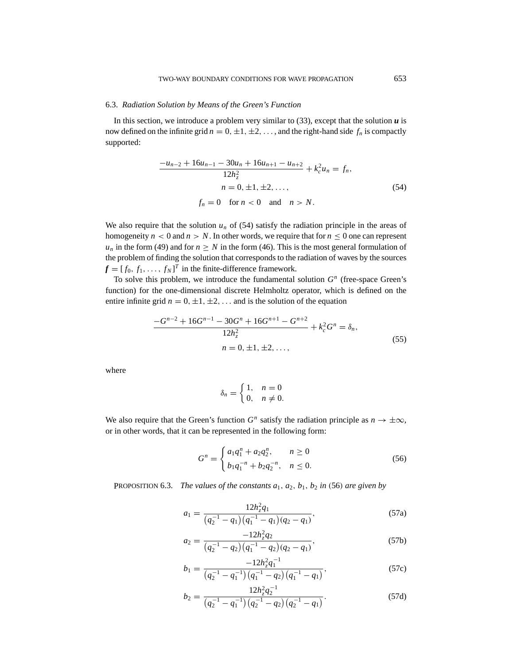## 6.3. *Radiation Solution by Means of the Green's Function*

In this section, we introduce a problem very similar to  $(33)$ , except that the solution  $\boldsymbol{u}$  is now defined on the infinite grid  $n = 0, \pm 1, \pm 2, \ldots$ , and the right-hand side  $f_n$  is compactly supported:

$$
\frac{-u_{n-2} + 16u_{n-1} - 30u_n + 16u_{n+1} - u_{n+2}}{12h_z^2} + k_c^2 u_n = f_n,
$$
  
\n
$$
n = 0, \pm 1, \pm 2, ...,
$$
  
\n
$$
f_n = 0 \quad \text{for } n < 0 \quad \text{and} \quad n > N.
$$
\n(54)

We also require that the solution  $u_n$  of (54) satisfy the radiation principle in the areas of homogeneity  $n < 0$  and  $n > N$ . In other words, we require that for  $n \leq 0$  one can represent  $u_n$  in the form (49) and for  $n \geq N$  in the form (46). This is the most general formulation of the problem of finding the solution that corresponds to the radiation of waves by the sources  $f = [f_0, f_1, \dots, f_N]^T$  in the finite-difference framework.

To solve this problem, we introduce the fundamental solution *G<sup>n</sup>* (free-space Green's function) for the one-dimensional discrete Helmholtz operator, which is defined on the entire infinite grid  $n = 0, \pm 1, \pm 2, \ldots$  and is the solution of the equation

$$
\frac{-G^{n-2} + 16G^{n-1} - 30G^n + 16G^{n+1} - G^{n+2}}{12h_z^2} + k_c^2 G^n = \delta_n,
$$
  
\n
$$
n = 0, \pm 1, \pm 2, ...,
$$
\n(55)

where

$$
\delta_n = \begin{cases} 1, & n = 0 \\ 0, & n \neq 0. \end{cases}
$$

We also require that the Green's function  $G^n$  satisfy the radiation principle as  $n \to \pm \infty$ , or in other words, that it can be represented in the following form:

$$
G^{n} = \begin{cases} a_{1}q_{1}^{n} + a_{2}q_{2}^{n}, & n \ge 0\\ b_{1}q_{1}^{-n} + b_{2}q_{2}^{-n}, & n \le 0. \end{cases}
$$
 (56)

PROPOSITION 6.3. *The values of the constants*  $a_1$ ,  $a_2$ ,  $b_1$ ,  $b_2$  *in* (56) *are given by* 

$$
a_1 = \frac{12h_z^2q_1}{\left(q_2^{-1} - q_1\right)\left(q_1^{-1} - q_1\right)\left(q_2 - q_1\right)},\tag{57a}
$$

$$
a_2 = \frac{-12h_z^2 q_2}{\left(q_2^{-1} - q_2\right)\left(q_1^{-1} - q_2\right)\left(q_2 - q_1\right)},\tag{57b}
$$

$$
b_1 = \frac{-12h_z^2 q_1^{-1}}{(q_2^{-1} - q_1^{-1})(q_1^{-1} - q_2)(q_1^{-1} - q_1)},
$$
\n(57c)

$$
b_2 = \frac{12h_z^2 q_2^{-1}}{\left(q_2^{-1} - q_1^{-1}\right)\left(q_2^{-1} - q_2\right)\left(q_2^{-1} - q_1\right)}.\tag{57d}
$$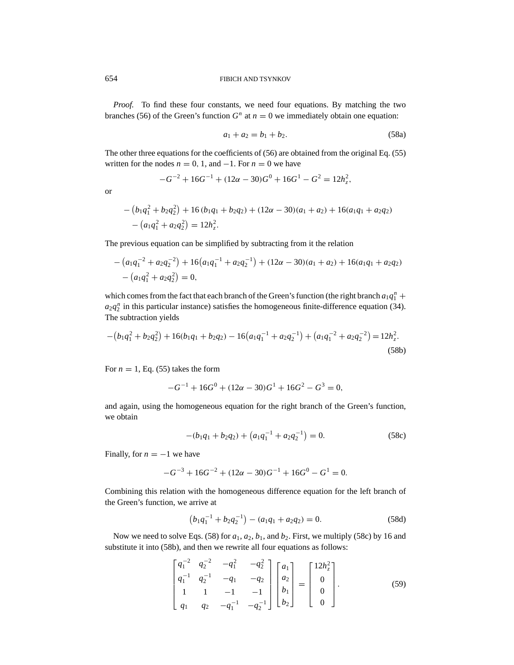*Proof.* To find these four constants, we need four equations. By matching the two branches (56) of the Green's function  $G<sup>n</sup>$  at  $n = 0$  we immediately obtain one equation:

$$
a_1 + a_2 = b_1 + b_2. \tag{58a}
$$

The other three equations for the coefficients of (56) are obtained from the original Eq. (55) written for the nodes  $n = 0, 1$ , and  $-1$ . For  $n = 0$  we have

$$
-G^{-2} + 16G^{-1} + (12\alpha - 30)G^{0} + 16G^{1} - G^{2} = 12h_{z}^{2},
$$

or

$$
-(b_1q_1^2 + b_2q_2^2) + 16(b_1q_1 + b_2q_2) + (12\alpha - 30)(a_1 + a_2) + 16(a_1q_1 + a_2q_2)
$$
  

$$
-(a_1q_1^2 + a_2q_2^2) = 12h_z^2.
$$

The previous equation can be simplified by subtracting from it the relation

$$
-(a_1q_1^{-2} + a_2q_2^{-2}) + 16(a_1q_1^{-1} + a_2q_2^{-1}) + (12\alpha - 30)(a_1 + a_2) + 16(a_1q_1 + a_2q_2)
$$
  
-
$$
(a_1q_1^2 + a_2q_2^2) = 0,
$$

which comes from the fact that each branch of the Green's function (the right branch  $a_1q_1^n$  +  $a_2q_2^n$  in this particular instance) satisfies the homogeneous finite-difference equation (34). The subtraction yields

$$
-(b_1q_1^2+b_2q_2^2)+16(b_1q_1+b_2q_2)-16(a_1q_1^{-1}+a_2q_2^{-1})+(a_1q_1^{-2}+a_2q_2^{-2})=12h_z^2.
$$
\n(58b)

For  $n = 1$ , Eq. (55) takes the form

$$
-G^{-1} + 16G^{0} + (12\alpha - 30)G^{1} + 16G^{2} - G^{3} = 0,
$$

and again, using the homogeneous equation for the right branch of the Green's function, we obtain

$$
-(b_1q_1 + b_2q_2) + (a_1q_1^{-1} + a_2q_2^{-1}) = 0.
$$
 (58c)

Finally, for  $n = -1$  we have

$$
-G^{-3} + 16G^{-2} + (12\alpha - 30)G^{-1} + 16G^{0} - G^{1} = 0.
$$

Combining this relation with the homogeneous difference equation for the left branch of the Green's function, we arrive at

$$
(b_1q_1^{-1} + b_2q_2^{-1}) - (a_1q_1 + a_2q_2) = 0.
$$
 (58d)

Now we need to solve Eqs. (58) for  $a_1$ ,  $a_2$ ,  $b_1$ , and  $b_2$ . First, we multiply (58c) by 16 and substitute it into (58b), and then we rewrite all four equations as follows:

$$
\begin{bmatrix} q_1^{-2} & q_2^{-2} & -q_1^2 & -q_2^2 \ q_1^{-1} & q_2^{-1} & -q_1 & -q_2 \ 1 & 1 & -1 & -1 \ q_1 & q_2 & -q_1^{-1} & -q_2^{-1} \end{bmatrix} \begin{bmatrix} a_1 \ a_2 \ b_1 \ b_2 \end{bmatrix} = \begin{bmatrix} 12h_z^2 \ 0 \ 0 \ 0 \end{bmatrix}.
$$
 (59)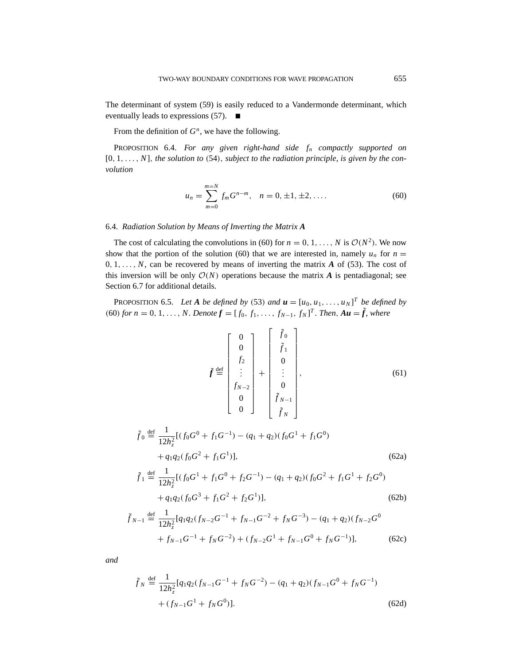The determinant of system (59) is easily reduced to a Vandermonde determinant, which eventually leads to expressions (57).

From the definition of *G<sup>n</sup>*, we have the following.

PROPOSITION 6.4. *For any given right-hand side fn compactly supported on* [0, 1,..., *N*], *the solution to* (54), *subject to the radiation principle*, *is given by the convolution*

$$
u_n = \sum_{m=0}^{m=N} f_m G^{n-m}, \quad n = 0, \pm 1, \pm 2, \dots
$$
 (60)

## 6.4. *Radiation Solution by Means of Inverting the Matrix A*

The cost of calculating the convolutions in (60) for  $n = 0, 1, \ldots, N$  is  $\mathcal{O}(N^2)$ . We now show that the portion of the solution (60) that we are interested in, namely  $u_n$  for  $n =$  $0, 1, \ldots, N$ , can be recovered by means of inverting the matrix *A* of (53). The cost of this inversion will be only  $O(N)$  operations because the matrix *A* is pentadiagonal; see Section 6.7 for additional details.

PROPOSITION 6.5. Let A be defined by (53) and  $\mathbf{u} = [u_0, u_1, \dots, u_N]^T$  be defined by  $(60)$  *for*  $n = 0, 1, \ldots, N$ . Denote  $f = [f_0, f_1, \ldots, f_{N-1}, f_N]^T$ . Then,  $Au = \tilde{f}$ , where

$$
\tilde{f} \stackrel{\text{def}}{=} \begin{bmatrix} 0 \\ 0 \\ f_2 \\ \vdots \\ f_{N-2} \\ 0 \\ 0 \end{bmatrix} + \begin{bmatrix} \tilde{f}_0 \\ \tilde{f}_1 \\ 0 \\ \vdots \\ 0 \\ \tilde{f}_{N-1} \\ \tilde{f}_N \end{bmatrix},
$$
\n(61)

$$
\tilde{f}_0 \stackrel{\text{def}}{=} \frac{1}{12h_z^2} [(f_0 G^0 + f_1 G^{-1}) - (q_1 + q_2)(f_0 G^1 + f_1 G^0) \n+ q_1 q_2 (f_0 G^2 + f_1 G^1)],
$$
\n(62a)

$$
\tilde{f}_1 \stackrel{\text{def}}{=} \frac{1}{12h_z^2} [(f_0 G^1 + f_1 G^0 + f_2 G^{-1}) - (q_1 + q_2)(f_0 G^2 + f_1 G^1 + f_2 G^0) \n+ q_1 q_2 (f_0 G^3 + f_1 G^2 + f_2 G^1)],
$$
\n(62b)

$$
\tilde{f}_{N-1} \stackrel{\text{def}}{=} \frac{1}{12h_z^2} [q_1 q_2 (f_{N-2} G^{-1} + f_{N-1} G^{-2} + f_N G^{-3}) - (q_1 + q_2)(f_{N-2} G^0 + f_{N-1} G^{-1} + f_N G^{-2}) + (f_{N-2} G^1 + f_{N-1} G^0 + f_N G^{-1})],
$$
\n(62c)

*and*

$$
\tilde{f}_N \stackrel{\text{def}}{=} \frac{1}{12h_z^2} [q_1 q_2 (f_{N-1}G^{-1} + f_N G^{-2}) - (q_1 + q_2)(f_{N-1}G^0 + f_N G^{-1})
$$
  
+  $(f_{N-1}G^1 + f_N G^0)].$  (62d)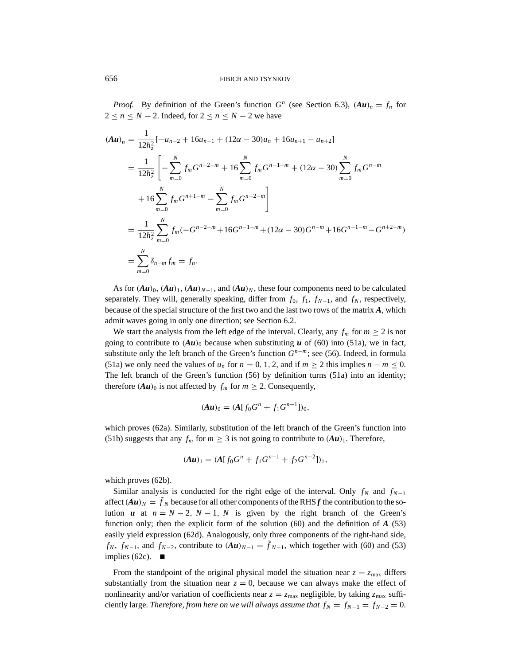*Proof.* By definition of the Green's function  $G^n$  (see Section 6.3),  $(Au)_n = f_n$  for  $2 \le n \le N - 2$ . Indeed, for  $2 \le n \le N - 2$  we have

$$
(Au)_n = \frac{1}{12h_z^2} [-u_{n-2} + 16u_{n-1} + (12\alpha - 30)u_n + 16u_{n+1} - u_{n+2}]
$$
  
\n
$$
= \frac{1}{12h_z^2} \left[ -\sum_{m=0}^N f_m G^{n-2-m} + 16 \sum_{m=0}^N f_m G^{n-1-m} + (12\alpha - 30) \sum_{m=0}^N f_m G^{n-m} + 16 \sum_{m=0}^N f_m G^{n+1-m} - \sum_{m=0}^N f_m G^{n+2-m} \right]
$$
  
\n
$$
= \frac{1}{12h_z^2} \sum_{m=0}^N f_m (-G^{n-2-m} + 16G^{n-1-m} + (12\alpha - 30)G^{n-m} + 16G^{n+1-m} - G^{n+2-m})
$$
  
\n
$$
= \sum_{m=0}^N \delta_{n-m} f_m = f_n.
$$

As for  $(Au)_0$ ,  $(Au)_1$ ,  $(Au)_{N-1}$ , and  $(Au)_N$ , these four components need to be calculated separately. They will, generally speaking, differ from  $f_0$ ,  $f_1$ ,  $f_{N-1}$ , and  $f_N$ , respectively, because of the special structure of the first two and the last two rows of the matrix *A*, which admit waves going in only one direction; see Section 6.2.

We start the analysis from the left edge of the interval. Clearly, any  $f_m$  for  $m \geq 2$  is not going to contribute to  $(Au)_0$  because when substituting  $u$  of (60) into (51a), we in fact, substitute only the left branch of the Green's function  $G^{n-m}$ ; see (56). Indeed, in formula (51a) we only need the values of  $u_n$  for  $n = 0, 1, 2$ , and if  $m \ge 2$  this implies  $n - m \le 0$ . The left branch of the Green's function (56) by definition turns (51a) into an identity; therefore  $(Au)_0$  is not affected by  $f_m$  for  $m \ge 2$ . Consequently,

$$
(Au)_0 = (A[f_0G^n + f_1G^{n-1}])_0,
$$

which proves (62a). Similarly, substitution of the left branch of the Green's function into (51b) suggests that any  $f_m$  for  $m \geq 3$  is not going to contribute to  $(Au)_1$ . Therefore,

$$
(Au)_1 = (A[f_0G^n + f_1G^{n-1} + f_2G^{n-2}])_1,
$$

which proves (62b).

Similar analysis is conducted for the right edge of the interval. Only  $f_N$  and  $f_{N-1}$ affect  $(Au)_N = \tilde{f}_N$  because for all other components of the RHS *f* the contribution to the solution *u* at  $n = N - 2$ ,  $N - 1$ ,  $N$  is given by the right branch of the Green's function only; then the explicit form of the solution (60) and the definition of *A* (53) easily yield expression (62d). Analogously, only three components of the right-hand side, *f<sub>N</sub>*, *f<sub>N−1</sub>*, and *f<sub>N−2</sub>*, contribute to  $(Au)_{N-1} = \tilde{f}_{N-1}$ , which together with (60) and (53) implies (62c).  $\blacksquare$ 

From the standpoint of the original physical model the situation near  $z = z_{\text{max}}$  differs substantially from the situation near  $z = 0$ , because we can always make the effect of nonlinearity and/or variation of coefficients near  $z = z_{\text{max}}$  negligible, by taking  $z_{\text{max}}$  sufficiently large. *Therefore, from here on we will always assume that*  $f_N = f_{N-1} = f_{N-2} = 0$ .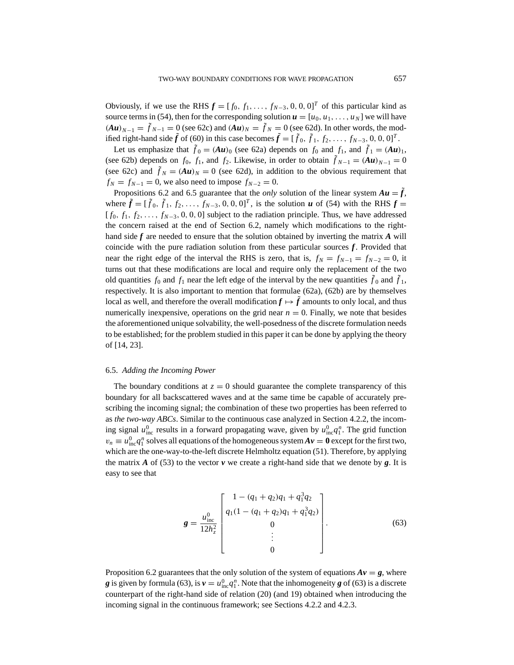Obviously, if we use the RHS  $f = [f_0, f_1, \ldots, f_{N-3}, 0, 0, 0]^T$  of this particular kind as source terms in (54), then for the corresponding solution  $\mathbf{u} = [u_0, u_1, \dots, u_N]$  we will have  $(Au)_{N-1} = \tilde{f}_{N-1} = 0$  (see 62c) and  $(Au)_N = \tilde{f}_N = 0$  (see 62d). In other words, the modified right-hand side  $\tilde{f}$  of (60) in this case becomes  $\tilde{f} = [\tilde{f}_0, \tilde{f}_1, f_2, \dots, f_{N-3}, 0, 0, 0]^T$ .

Let us emphasize that  $\tilde{f}_0 = (Au)_0$  (see 62a) depends on  $f_0$  and  $f_1$ , and  $\tilde{f}_1 = (Au)_1$ , (see 62b) depends on  $f_0$ ,  $f_1$ , and  $f_2$ . Likewise, in order to obtain  $\tilde{f}_{N-1} = (A\mathbf{u})_{N-1} = 0$ (see 62c) and  $\tilde{f}_N = (Au)_N = 0$  (see 62d), in addition to the obvious requirement that  $f_N = f_{N-1} = 0$ , we also need to impose  $f_{N-2} = 0$ .

Propositions 6.2 and 6.5 guarantee that the *only* solution of the linear system  $Au = \tilde{f}$ , where  $\tilde{f} = [\tilde{f}_0, \tilde{f}_1, f_2, \ldots, f_{N-3}, 0, 0, 0]^T$ , is the solution *u* of (54) with the RHS  $f =$  $[f_0, f_1, f_2, \ldots, f_{N-3}, 0, 0, 0]$  subject to the radiation principle. Thus, we have addressed the concern raised at the end of Section 6.2, namely which modifications to the righthand side *f* are needed to ensure that the solution obtained by inverting the matrix *A* will coincide with the pure radiation solution from these particular sources *f*. Provided that near the right edge of the interval the RHS is zero, that is,  $f_N = f_{N-1} = f_{N-2} = 0$ , it turns out that these modifications are local and require only the replacement of the two old quantities  $f_0$  and  $f_1$  near the left edge of the interval by the new quantities  $\tilde{f}_0$  and  $\tilde{f}_1$ , respectively. It is also important to mention that formulae (62a), (62b) are by themselves local as well, and therefore the overall modification  $f \mapsto \tilde{f}$  amounts to only local, and thus numerically inexpensive, operations on the grid near  $n = 0$ . Finally, we note that besides the aforementioned unique solvability, the well-posedness of the discrete formulation needs to be established; for the problem studied in this paper it can be done by applying the theory of [14, 23].

#### 6.5. *Adding the Incoming Power*

The boundary conditions at  $z = 0$  should guarantee the complete transparency of this boundary for all backscattered waves and at the same time be capable of accurately prescribing the incoming signal; the combination of these two properties has been referred to as *the two-way ABCs*. Similar to the continuous case analyzed in Section 4.2.2, the incoming signal  $u_{inc}^0$  results in a forward propagating wave, given by  $u_{inc}^0 q_1^n$ . The grid function  $v_n \equiv u_{\text{inc}}^0 q_1^n$  solves all equations of the homogeneous system  $A v = 0$  except for the first two, which are the one-way-to-the-left discrete Helmholtz equation (51). Therefore, by applying the matrix A of (53) to the vector  $v$  we create a right-hand side that we denote by  $g$ . It is easy to see that

$$
\mathbf{g} = \frac{u_{\text{inc}}^0}{12h_z^2} \begin{bmatrix} 1 - (q_1 + q_2)q_1 + q_1^3 q_2 \\ q_1(1 - (q_1 + q_2)q_1 + q_1^3 q_2) \\ 0 \\ 0 \\ \vdots \\ 0 \end{bmatrix} . \tag{63}
$$

Proposition 6.2 guarantees that the only solution of the system of equations  $Av = g$ , where *g* is given by formula (63), is  $v = u_{\text{inc}}^0 q_1^n$ . Note that the inhomogeneity *g* of (63) is a discrete counterpart of the right-hand side of relation (20) (and 19) obtained when introducing the incoming signal in the continuous framework; see Sections 4.2.2 and 4.2.3.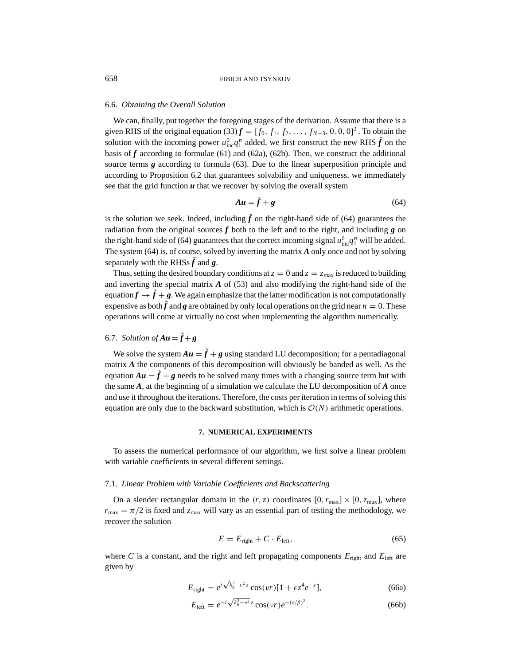#### 6.6. *Obtaining the Overall Solution*

We can, finally, put together the foregoing stages of the derivation. Assume that there is a given RHS of the original equation (33)  $f = [f_0, f_1, f_2, \dots, f_{N-3}, 0, 0, 0]^T$ . To obtain the solution with the incoming power  $u_{\text{inc}}^0 q_1^n$  added, we first construct the new RHS  $\tilde{f}$  on the basis of  $f$  according to formulae (61) and (62a), (62b). Then, we construct the additional source terms *g* according to formula (63). Due to the linear superposition principle and according to Proposition 6.2 that guarantees solvability and uniqueness, we immediately see that the grid function  $u$  that we recover by solving the overall system

$$
Au = \tilde{f} + g \tag{64}
$$

is the solution we seek. Indeed, including  $\tilde{f}$  on the right-hand side of (64) guarantees the radiation from the original sources  $f$  both to the left and to the right, and including  $g$  on the right-hand side of (64) guarantees that the correct incoming signal  $u_{\text{inc}}^0 q_1^n$  will be added. The system (64) is, of course, solved by inverting the matrix *A* only once and not by solving separately with the RHSs  $\tilde{f}$  and  $g$ .

Thus, setting the desired boundary conditions at  $z = 0$  and  $z = z_{\text{max}}$  is reduced to building and inverting the special matrix *A* of (53) and also modifying the right-hand side of the equation  $f \mapsto \tilde{f} + g$ . We again emphasize that the latter modification is not computationally expensive as both  $\tilde{f}$  and  $g$  are obtained by only local operations on the grid near  $n = 0$ . These operations will come at virtually no cost when implementing the algorithm numerically.

# 6.7. *Solution of*  $Au = \tilde{f} + g$

We solve the system  $Au = \tilde{f} + g$  using standard LU decomposition; for a pentadiagonal matrix *A* the components of this decomposition will obviously be banded as well. As the equation  $Au = \tilde{f} + g$  needs to be solved many times with a changing source term but with the same *A*, at the beginning of a simulation we calculate the LU decomposition of *A* once and use it throughout the iterations. Therefore, the costs per iteration in terms of solving this equation are only due to the backward substitution, which is  $O(N)$  arithmetic operations.

#### **7. NUMERICAL EXPERIMENTS**

To assess the numerical performance of our algorithm, we first solve a linear problem with variable coefficients in several different settings.

## 7.1. *Linear Problem with Variable Coefficients and Backscattering*

On a slender rectangular domain in the  $(r, z)$  coordinates  $[0, r_{\text{max}}] \times [0, z_{\text{max}}]$ , where  $r_{\text{max}} = \pi/2$  is fixed and  $z_{\text{max}}$  will vary as an essential part of testing the methodology, we recover the solution

$$
E = E_{\text{right}} + C \cdot E_{\text{left}},\tag{65}
$$

where  $C$  is a constant, and the right and left propagating components  $E_{\text{right}}$  and  $E_{\text{left}}$  are given by

$$
E_{\text{right}} = e^{i\sqrt{k_0^2 - v^2}z} \cos(\nu r)[1 + \epsilon z^4 e^{-z}], \tag{66a}
$$

$$
E_{\text{left}} = e^{-i\sqrt{k_0^2 - v^2} z} \cos(vr) e^{-(z/\beta)^2}.
$$
 (66b)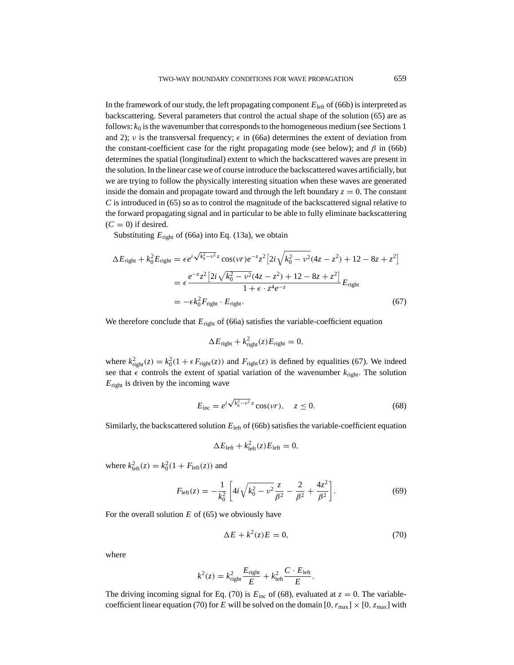In the framework of our study, the left propagating component  $E_{\text{left}}$  of (66b) is interpreted as backscattering. Several parameters that control the actual shape of the solution (65) are as follows:  $k_0$  is the wavenumber that corresponds to the homogeneous medium (see Sections 1) and 2); v is the transversal frequency;  $\epsilon$  in (66a) determines the extent of deviation from the constant-coefficient case for the right propagating mode (see below); and  $\beta$  in (66b) determines the spatial (longitudinal) extent to which the backscattered waves are present in the solution. In the linear case we of course introduce the backscattered waves artificially, but we are trying to follow the physically interesting situation when these waves are generated inside the domain and propagate toward and through the left boundary  $z = 0$ . The constant *C* is introduced in (65) so as to control the magnitude of the backscattered signal relative to the forward propagating signal and in particular to be able to fully eliminate backscattering  $(C = 0)$  if desired.

Substituting  $E_{\text{right}}$  of (66a) into Eq. (13a), we obtain

$$
\Delta E_{\text{right}} + k_0^2 E_{\text{right}} = \epsilon e^{i\sqrt{k_0^2 - v^2}z} \cos(vr) e^{-z} z^2 \left[ 2i\sqrt{k_0^2 - v^2} (4z - z^2) + 12 - 8z + z^2 \right]
$$
  
= 
$$
\epsilon \frac{e^{-z} z^2 \left[ 2i\sqrt{k_0^2 - v^2} (4z - z^2) + 12 - 8z + z^2 \right]}{1 + \epsilon \cdot z^4 e^{-z}} E_{\text{right}}
$$
  
= 
$$
-\epsilon k_0^2 F_{\text{right}} \cdot E_{\text{right}}.
$$
 (67)

We therefore conclude that  $E_{\text{right}}$  of (66a) satisfies the variable-coefficient equation

$$
\Delta E_{\text{right}} + k_{\text{right}}^2(z) E_{\text{right}} = 0,
$$

where  $k_{\text{right}}^2(z) = k_0^2(1 + \epsilon F_{\text{right}}(z))$  and  $F_{\text{right}}(z)$  is defined by equalities (67). We indeed see that  $\epsilon$  controls the extent of spatial variation of the wavenumber  $k_{\text{right}}$ . The solution  $E_{\text{right}}$  is driven by the incoming wave

$$
E_{\rm inc} = e^{i\sqrt{k_0^2 - v^2}z} \cos(vr), \quad z \le 0.
$$
 (68)

Similarly, the backscattered solution  $E_{\text{left}}$  of (66b) satisfies the variable-coefficient equation

$$
\Delta E_{\text{left}} + k_{\text{left}}^2(z) E_{\text{left}} = 0,
$$

where  $k_{\text{left}}^{2}(z) = k_{0}^{2}(1 + F_{\text{left}}(z))$  and

$$
F_{\text{left}}(z) = -\frac{1}{k_0^2} \left[ 4i \sqrt{k_0^2 - \nu^2} \frac{z}{\beta^2} - \frac{2}{\beta^2} + \frac{4z^2}{\beta^2} \right].
$$
 (69)

For the overall solution *E* of (65) we obviously have

$$
\Delta E + k^2(z)E = 0,\t(70)
$$

where

$$
k^2(z) = k_{\text{right}}^2 \frac{E_{\text{right}}}{E} + k_{\text{left}}^2 \frac{C \cdot E_{\text{left}}}{E}.
$$

The driving incoming signal for Eq. (70) is  $E_{inc}$  of (68), evaluated at  $z = 0$ . The variablecoefficient linear equation (70) for *E* will be solved on the domain  $[0, r_{\text{max}}] \times [0, z_{\text{max}}]$  with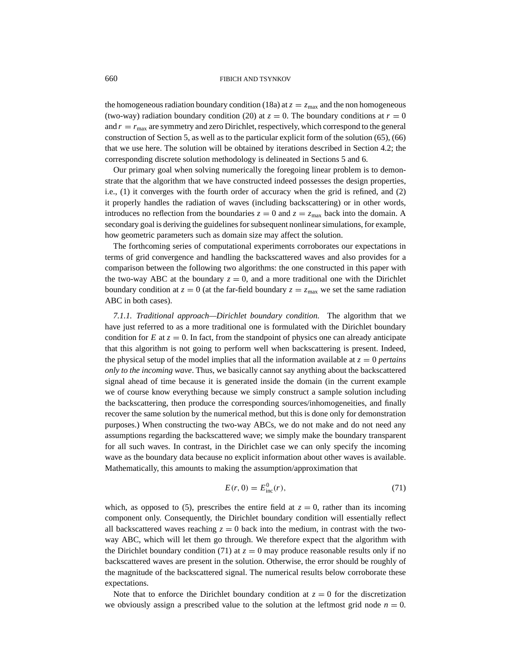the homogeneous radiation boundary condition (18a) at  $z = z_{\text{max}}$  and the non homogeneous (two-way) radiation boundary condition (20) at  $z = 0$ . The boundary conditions at  $r = 0$ and  $r = r_{\text{max}}$  are symmetry and zero Dirichlet, respectively, which correspond to the general construction of Section 5, as well as to the particular explicit form of the solution (65), (66) that we use here. The solution will be obtained by iterations described in Section 4.2; the corresponding discrete solution methodology is delineated in Sections 5 and 6.

Our primary goal when solving numerically the foregoing linear problem is to demonstrate that the algorithm that we have constructed indeed possesses the design properties, i.e., (1) it converges with the fourth order of accuracy when the grid is refined, and (2) it properly handles the radiation of waves (including backscattering) or in other words, introduces no reflection from the boundaries  $z = 0$  and  $z = z_{\text{max}}$  back into the domain. A secondary goal is deriving the guidelines for subsequent nonlinear simulations, for example, how geometric parameters such as domain size may affect the solution.

The forthcoming series of computational experiments corroborates our expectations in terms of grid convergence and handling the backscattered waves and also provides for a comparison between the following two algorithms: the one constructed in this paper with the two-way ABC at the boundary  $z = 0$ , and a more traditional one with the Dirichlet boundary condition at  $z = 0$  (at the far-field boundary  $z = z_{\text{max}}$  we set the same radiation ABC in both cases).

*7.1.1. Traditional approach—Dirichlet boundary condition.* The algorithm that we have just referred to as a more traditional one is formulated with the Dirichlet boundary condition for *E* at  $z = 0$ . In fact, from the standpoint of physics one can already anticipate that this algorithm is not going to perform well when backscattering is present. Indeed, the physical setup of the model implies that all the information available at  $z = 0$  *pertains only to the incoming wave*. Thus, we basically cannot say anything about the backscattered signal ahead of time because it is generated inside the domain (in the current example we of course know everything because we simply construct a sample solution including the backscattering, then produce the corresponding sources/inhomogeneities, and finally recover the same solution by the numerical method, but this is done only for demonstration purposes.) When constructing the two-way ABCs, we do not make and do not need any assumptions regarding the backscattered wave; we simply make the boundary transparent for all such waves. In contrast, in the Dirichlet case we can only specify the incoming wave as the boundary data because no explicit information about other waves is available. Mathematically, this amounts to making the assumption/approximation that

$$
E(r, 0) = E_{\text{inc}}^{0}(r),
$$
\n(71)

which, as opposed to (5), prescribes the entire field at  $z = 0$ , rather than its incoming component only. Consequently, the Dirichlet boundary condition will essentially reflect all backscattered waves reaching  $z = 0$  back into the medium, in contrast with the twoway ABC, which will let them go through. We therefore expect that the algorithm with the Dirichlet boundary condition (71) at  $z = 0$  may produce reasonable results only if no backscattered waves are present in the solution. Otherwise, the error should be roughly of the magnitude of the backscattered signal. The numerical results below corroborate these expectations.

Note that to enforce the Dirichlet boundary condition at  $z = 0$  for the discretization we obviously assign a prescribed value to the solution at the leftmost grid node  $n = 0$ .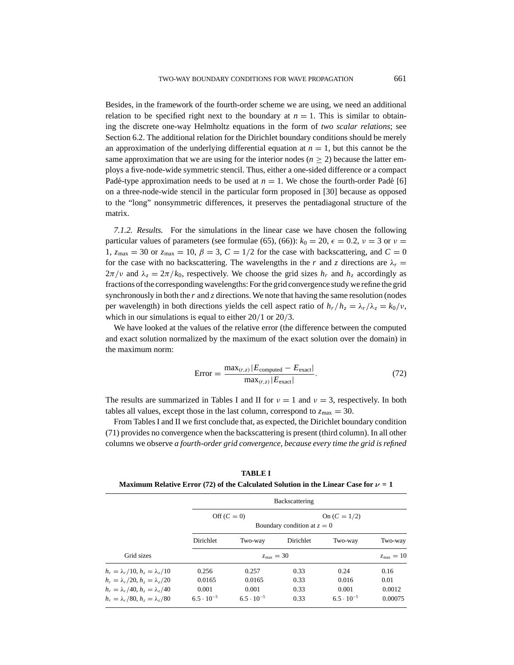Besides, in the framework of the fourth-order scheme we are using, we need an additional relation to be specified right next to the boundary at  $n = 1$ . This is similar to obtaining the discrete one-way Helmholtz equations in the form of *two scalar relations*; see Section 6.2. The additional relation for the Dirichlet boundary conditions should be merely an approximation of the underlying differential equation at  $n = 1$ , but this cannot be the same approximation that we are using for the interior nodes  $(n \geq 2)$  because the latter employs a five-node-wide symmetric stencil. Thus, either a one-sided difference or a compact Padé-type approximation needs to be used at  $n = 1$ . We chose the fourth-order Padé [6] on a three-node-wide stencil in the particular form proposed in [30] because as opposed to the "long" nonsymmetric differences, it preserves the pentadiagonal structure of the matrix.

*7.1.2. Results.* For the simulations in the linear case we have chosen the following particular values of parameters (see formulae (65), (66)):  $k_0 = 20$ ,  $\epsilon = 0.2$ ,  $\nu = 3$  or  $\nu =$ 1,  $z_{\text{max}} = 30$  or  $z_{\text{max}} = 10$ ,  $\beta = 3$ ,  $C = 1/2$  for the case with backscattering, and  $C = 0$ for the case with no backscattering. The wavelengths in the *r* and *z* directions are  $\lambda_r =$  $2\pi/v$  and  $\lambda_z = 2\pi/k_0$ , respectively. We choose the grid sizes  $h_r$  and  $h_z$  accordingly as fractions of the corresponding wavelengths: For the grid convergence study we refine the grid synchronously in both the *r* and *z* directions. We note that having the same resolution (nodes per wavelength) in both directions yields the cell aspect ratio of  $h_r/h_z = \lambda_r/\lambda_z = k_0/v$ , which in our simulations is equal to either  $20/1$  or  $20/3$ .

We have looked at the values of the relative error (the difference between the computed and exact solution normalized by the maximum of the exact solution over the domain) in the maximum norm:

$$
Error = \frac{\max_{(r,z)} |E_{\text{computed}} - E_{\text{exact}}|}{\max_{(r,z)} |E_{\text{exact}}|}.
$$
\n(72)

The results are summarized in Tables I and II for  $\nu = 1$  and  $\nu = 3$ , respectively. In both tables all values, except those in the last column, correspond to  $z_{\text{max}} = 30$ .

From Tables I and II we first conclude that, as expected, the Dirichlet boundary condition (71) provides no convergence when the backscattering is present (third column). In all other columns we observe *a fourth-order grid convergence, because every time the grid is refined*

**TABLE I Maximum Relative Error (72) of the Calculated Solution in the Linear Case for**  $\nu = 1$ 

|                                                          | Backscattering                |                     |           |                     |         |  |
|----------------------------------------------------------|-------------------------------|---------------------|-----------|---------------------|---------|--|
|                                                          |                               | Off $(C=0)$         |           | On $(C = 1/2)$      |         |  |
|                                                          | Boundary condition at $z = 0$ |                     |           |                     |         |  |
|                                                          | <b>Dirichlet</b>              | Two-way             | Dirichlet | Two-way             | Two-way |  |
| Grid sizes                                               | $z_{\text{max}} = 30$         |                     |           |                     |         |  |
| $h_r = \lambda_r/10, h_r = \lambda_r/10$                 | 0.256                         | 0.257               | 0.33      | 0.24                | 0.16    |  |
| $h_r = \lambda_r/20, h_{\bar{z}} = \lambda_{\bar{z}}/20$ | 0.0165                        | 0.0165              | 0.33      | 0.016               | 0.01    |  |
| $h_r = \lambda_r/40, h_z = \lambda_z/40$                 | 0.001                         | 0.001               | 0.33      | 0.001               | 0.0012  |  |
| $h_r = \lambda_r/80$ , $h_r = \lambda_r/80$              | $6.5 \cdot 10^{-5}$           | $6.5 \cdot 10^{-5}$ | 0.33      | $6.5 \cdot 10^{-5}$ | 0.00075 |  |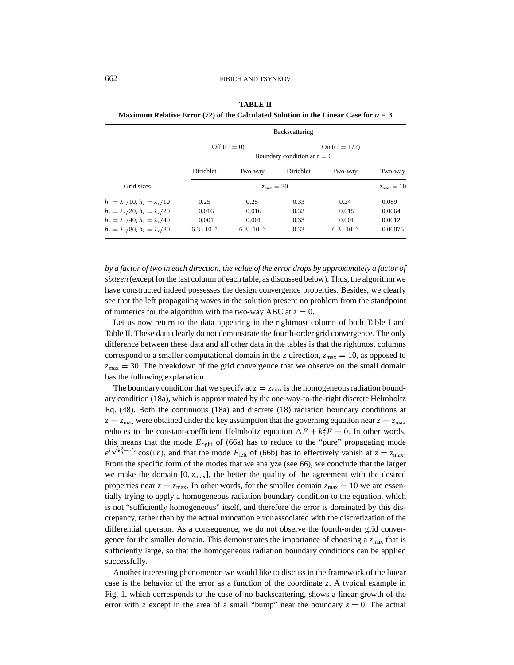|                                             | Backscattering                                                 |                       |           |                     |         |  |  |
|---------------------------------------------|----------------------------------------------------------------|-----------------------|-----------|---------------------|---------|--|--|
|                                             | Off $(C=0)$<br>On $(C = 1/2)$<br>Boundary condition at $z = 0$ |                       |           |                     |         |  |  |
|                                             | <b>Dirichlet</b>                                               | Two-way               | Dirichlet | Two-way             | Two-way |  |  |
| Grid sizes                                  |                                                                | $z_{\text{max}} = 10$ |           |                     |         |  |  |
| $h_r = \lambda_r/10, h_r = \lambda_r/10$    | 0.25                                                           | 0.25                  | 0.33      | 0.24                | 0.089   |  |  |
| $h_r = \lambda_r/20, h_r = \lambda_z/20$    | 0.016                                                          | 0.016                 | 0.33      | 0.015               | 0.0064  |  |  |
| $h_r = \lambda_r/40, h_r = \lambda_r/40$    | 0.001                                                          | 0.001                 | 0.33      | 0.001               | 0.0012  |  |  |
| $h_r = \lambda_r/80$ , $h_r = \lambda_r/80$ | $6.3 \cdot 10^{-5}$                                            | $6.3 \cdot 10^{-5}$   | 0.33      | $6.3 \cdot 10^{-5}$ | 0.00075 |  |  |

**TABLE II Maximum Relative Error (72) of the Calculated Solution in the Linear Case for**  $\nu = 3$ 

*by a factor of two in each direction, the value of the error drops by approximately a factor of sixteen* (except for the last column of each table, as discussed below). Thus, the algorithm we have constructed indeed possesses the design convergence properties. Besides, we clearly see that the left propagating waves in the solution present no problem from the standpoint of numerics for the algorithm with the two-way ABC at  $z = 0$ .

Let us now return to the data appearing in the rightmost column of both Table I and Table II. These data clearly do not demonstrate the fourth-order grid convergence. The only difference between these data and all other data in the tables is that the rightmost columns correspond to a smaller computational domain in the *z* direction,  $z_{\text{max}} = 10$ , as opposed to  $z_{\text{max}} = 30$ . The breakdown of the grid convergence that we observe on the small domain has the following explanation.

The boundary condition that we specify at  $z = z_{\text{max}}$  is the homogeneous radiation boundary condition (18a), which is approximated by the one-way-to-the-right discrete Helmholtz Eq. (48). Both the continuous (18a) and discrete (18) radiation boundary conditions at  $z = z_{\text{max}}$  were obtained under the key assumption that the governing equation near  $z = z_{\text{max}}$ reduces to the constant-coefficient Helmholtz equation  $\Delta E + k_0^2 E = 0$ . In other words, this means that the mode  $E_{\text{right}}$  of (66a) has to reduce to the "pure" propagating mode<br> $e^{i\sqrt{k_0^2 - v^2}z}$  cos(ur) and that the mode  $F_{\text{right}}$  of (66b) has to effectively vanish at  $z = z$  $e^{i\sqrt{k_0^2 - v^2 z}} \cos(vr)$ , and that the mode  $E_{\text{left}}$  of (66b) has to effectively vanish at  $z = z_{\text{max}}$ . From the specific form of the modes that we analyze (see 66), we conclude that the larger we make the domain  $[0, z_{max}]$ , the better the quality of the agreement with the desired properties near  $z = z_{\text{max}}$ . In other words, for the smaller domain  $z_{\text{max}} = 10$  we are essentially trying to apply a homogeneous radiation boundary condition to the equation, which is not "sufficiently homogeneous" itself, and therefore the error is dominated by this discrepancy, rather than by the actual truncation error associated with the discretization of the differential operator. As a consequence, we do not observe the fourth-order grid convergence for the smaller domain. This demonstrates the importance of choosing a  $z<sub>max</sub>$  that is sufficiently large, so that the homogeneous radiation boundary conditions can be applied successfully.

Another interesting phenomenon we would like to discuss in the framework of the linear case is the behavior of the error as a function of the coordinate *z*. A typical example in Fig. 1, which corresponds to the case of no backscattering, shows a linear growth of the error with *z* except in the area of a small "bump" near the boundary  $z = 0$ . The actual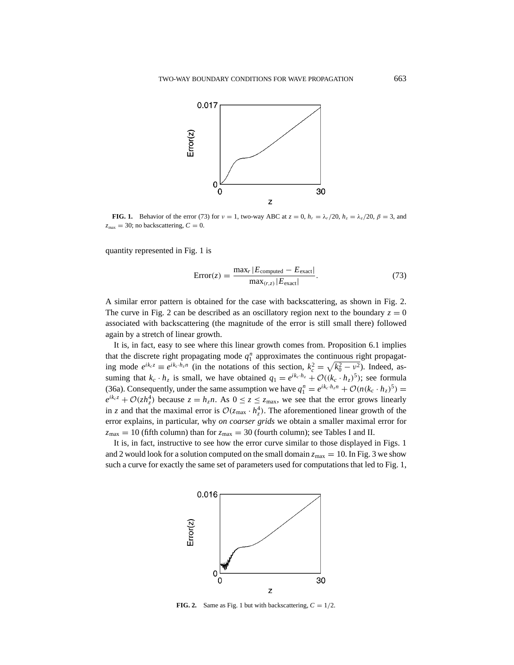

**FIG. 1.** Behavior of the error (73) for  $v = 1$ , two-way ABC at  $z = 0$ ,  $h_r = \lambda_r/20$ ,  $h_z = \lambda_z/20$ ,  $\beta = 3$ , and  $z_{\text{max}} = 30$ ; no backscattering,  $C = 0$ .

quantity represented in Fig. 1 is

$$
Error(z) = \frac{\max_r |E_{\text{computed}} - E_{\text{exact}}|}{\max_{(r,z)} |E_{\text{exact}}|}.
$$
\n(73)

A similar error pattern is obtained for the case with backscattering, as shown in Fig. 2. The curve in Fig. 2 can be described as an oscillatory region next to the boundary  $z = 0$ associated with backscattering (the magnitude of the error is still small there) followed again by a stretch of linear growth.

It is, in fact, easy to see where this linear growth comes from. Proposition 6.1 implies that the discrete right propagating mode  $q_1^n$  approximates the continuous right propagating mode  $e^{ik_c z} \equiv e^{ik_c \cdot \hat{h}_z n}$  (in the notations of this section,  $k_c^2 = \sqrt{k_0^2 - v^2}$ ). Indeed, assuming that  $k_c \cdot h_z$  is small, we have obtained  $q_1 = e^{ik_c \cdot h_z} + \mathcal{O}((k_c \cdot h_z)^5)$ ; see formula (36a). Consequently, under the same assumption we have  $q_1^n = e^{ik_c \cdot h_z n} + \mathcal{O}(n(k_c \cdot h_z)^5) =$  $e^{ik_c z} + \mathcal{O}(z h_z^4)$  because  $z = h_z n$ . As  $0 \le z \le z_{\text{max}}$ , we see that the error grows linearly in *z* and that the maximal error is  $\mathcal{O}(z_{\text{max}} \cdot h_z^4)$ . The aforementioned linear growth of the error explains, in particular, why *on coarser grids* we obtain a smaller maximal error for  $z_{\text{max}} = 10$  (fifth column) than for  $z_{\text{max}} = 30$  (fourth column); see Tables I and II.

It is, in fact, instructive to see how the error curve similar to those displayed in Figs. 1 and 2 would look for a solution computed on the small domain  $z_{\text{max}} = 10$ . In Fig. 3 we show such a curve for exactly the same set of parameters used for computations that led to Fig. 1,



**FIG. 2.** Same as Fig. 1 but with backscattering,  $C = 1/2$ .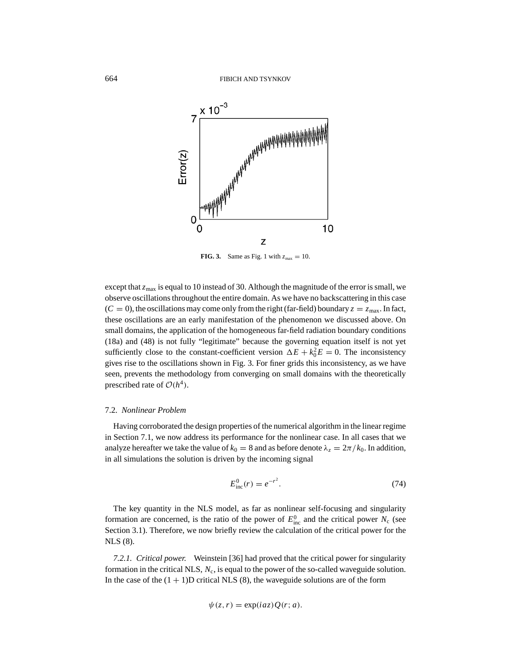

**FIG. 3.** Same as Fig. 1 with  $z_{\text{max}} = 10$ .

except that  $z_{\text{max}}$  is equal to 10 instead of 30. Although the magnitude of the error is small, we observe oscillations throughout the entire domain. As we have no backscattering in this case  $(C = 0)$ , the oscillations may come only from the right (far-field) boundary  $z = z_{\text{max}}$ . In fact, these oscillations are an early manifestation of the phenomenon we discussed above. On small domains, the application of the homogeneous far-field radiation boundary conditions (18a) and (48) is not fully "legitimate" because the governing equation itself is not yet sufficiently close to the constant-coefficient version  $\Delta E + k_0^2 E = 0$ . The inconsistency gives rise to the oscillations shown in Fig. 3. For finer grids this inconsistency, as we have seen, prevents the methodology from converging on small domains with the theoretically prescribed rate of  $O(h^4)$ .

#### 7.2. *Nonlinear Problem*

Having corroborated the design properties of the numerical algorithm in the linear regime in Section 7.1, we now address its performance for the nonlinear case. In all cases that we analyze hereafter we take the value of  $k_0 = 8$  and as before denote  $\lambda_z = 2\pi / k_0$ . In addition, in all simulations the solution is driven by the incoming signal

$$
E_{\text{inc}}^0(r) = e^{-r^2}.
$$
 (74)

The key quantity in the NLS model, as far as nonlinear self-focusing and singularity formation are concerned, is the ratio of the power of  $E_{\text{inc}}^0$  and the critical power  $N_c$  (see Section 3.1). Therefore, we now briefly review the calculation of the critical power for the NLS (8).

*7.2.1. Critical power.* Weinstein [36] had proved that the critical power for singularity formation in the critical NLS, *N*c, is equal to the power of the so-called waveguide solution. In the case of the  $(1 + 1)D$  critical NLS  $(8)$ , the waveguide solutions are of the form

$$
\psi(z,r) = \exp(iaz)Q(r;a).
$$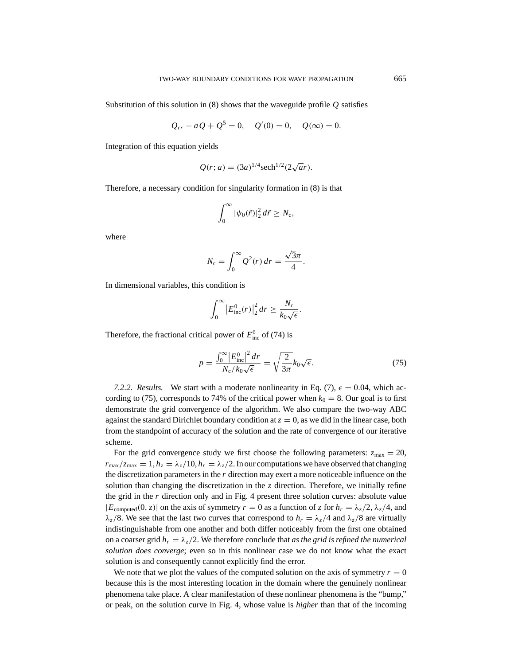Substitution of this solution in (8) shows that the waveguide profile *Q* satisfies

$$
Q_{rr} - aQ + Q^5 = 0
$$
,  $Q'(0) = 0$ ,  $Q(\infty) = 0$ .

Integration of this equation yields

$$
Q(r; a) = (3a)^{1/4} \text{sech}^{1/2} (2\sqrt{a}r).
$$

Therefore, a necessary condition for singularity formation in (8) is that

$$
\int_0^\infty |\psi_0(\tilde{r})|^2 \, d\tilde{r} \ge N_c,
$$

where

$$
N_{\rm c} = \int_0^\infty Q^2(r) \, dr = \frac{\sqrt{3}\pi}{4}.
$$

In dimensional variables, this condition is

$$
\int_0^\infty \left| E_{\text{inc}}^0(r) \right|_2^2 dr \geq \frac{N_c}{k_0 \sqrt{\epsilon}}.
$$

Therefore, the fractional critical power of  $E_{\text{inc}}^0$  of (74) is

$$
p = \frac{\int_0^\infty |E_{\text{inc}}^0|^2 dr}{N_c / k_0 \sqrt{\epsilon}} = \sqrt{\frac{2}{3\pi}} k_0 \sqrt{\epsilon}.
$$
 (75)

7.2.2. Results. We start with a moderate nonlinearity in Eq. (7),  $\epsilon = 0.04$ , which according to (75), corresponds to 74% of the critical power when  $k_0 = 8$ . Our goal is to first demonstrate the grid convergence of the algorithm. We also compare the two-way ABC against the standard Dirichlet boundary condition at  $z = 0$ , as we did in the linear case, both from the standpoint of accuracy of the solution and the rate of convergence of our iterative scheme.

For the grid convergence study we first choose the following parameters:  $z_{\text{max}} = 20$ ,  $r_{\text{max}}/z_{\text{max}} = 1, h_z = \lambda_z/10, h_r = \lambda_z/2$ . In our computations we have observed that changing the discretization parameters in the *r* direction may exert a more noticeable influence on the solution than changing the discretization in the *z* direction. Therefore, we initially refine the grid in the  $r$  direction only and in Fig. 4 present three solution curves: absolute value  $|E_{\text{computed}}(0, z)|$  on the axis of symmetry  $r = 0$  as a function of *z* for  $h_r = \lambda_z/2$ ,  $\lambda_z/4$ , and  $\lambda_z/8$ . We see that the last two curves that correspond to  $h_r = \lambda_z/4$  and  $\lambda_z/8$  are virtually indistinguishable from one another and both differ noticeably from the first one obtained on a coarser grid  $h_r = \lambda_z/2$ . We therefore conclude that *as the grid is refined the numerical solution does converge*; even so in this nonlinear case we do not know what the exact solution is and consequently cannot explicitly find the error.

We note that we plot the values of the computed solution on the axis of symmetry  $r = 0$ because this is the most interesting location in the domain where the genuinely nonlinear phenomena take place. A clear manifestation of these nonlinear phenomena is the "bump," or peak, on the solution curve in Fig. 4, whose value is *higher* than that of the incoming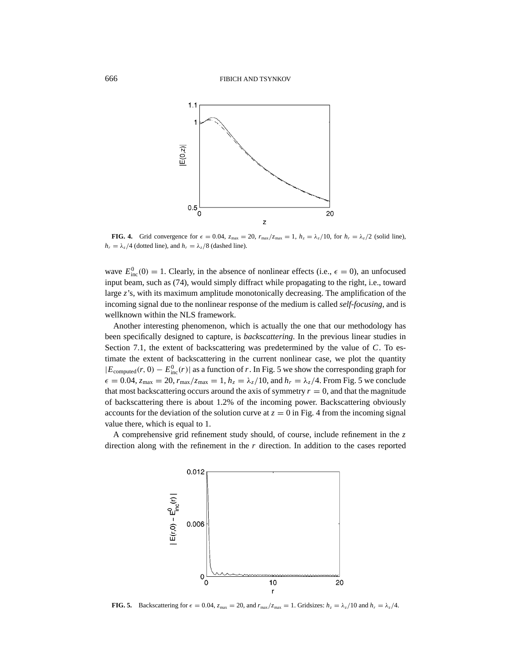

**FIG. 4.** Grid convergence for  $\epsilon = 0.04$ ,  $z_{\text{max}} = 20$ ,  $r_{\text{max}}/z_{\text{max}} = 1$ ,  $h_z = \lambda_z/10$ , for  $h_r = \lambda_z/2$  (solid line),  $h_r = \lambda_z/4$  (dotted line), and  $h_r = \lambda_z/8$  (dashed line).

wave  $E_{\text{inc}}^0(0) = 1$ . Clearly, in the absence of nonlinear effects (i.e.,  $\epsilon = 0$ ), an unfocused input beam, such as (74), would simply diffract while propagating to the right, i.e., toward large *z*'s, with its maximum amplitude monotonically decreasing. The amplification of the incoming signal due to the nonlinear response of the medium is called *self-focusing*, and is wellknown within the NLS framework.

Another interesting phenomenon, which is actually the one that our methodology has been specifically designed to capture, is *backscattering*. In the previous linear studies in Section 7.1, the extent of backscattering was predetermined by the value of *C*. To estimate the extent of backscattering in the current nonlinear case, we plot the quantity  $|E_{\text{computed}}(r, 0) - E_{\text{inc}}^0(r)|$  as a function of *r*. In Fig. 5 we show the corresponding graph for  $\epsilon = 0.04$ ,  $z_{\text{max}} = 20$ ,  $r_{\text{max}}/z_{\text{max}} = 1$ ,  $h_z = \lambda_z/10$ , and  $h_r = \lambda_z/4$ . From Fig. 5 we conclude that most backscattering occurs around the axis of symmetry  $r = 0$ , and that the magnitude of backscattering there is about 1.2% of the incoming power. Backscattering obviously accounts for the deviation of the solution curve at  $z = 0$  in Fig. 4 from the incoming signal value there, which is equal to 1.

A comprehensive grid refinement study should, of course, include refinement in the *z* direction along with the refinement in the *r* direction. In addition to the cases reported



**FIG. 5.** Backscattering for  $\epsilon = 0.04$ ,  $z_{\text{max}} = 20$ , and  $r_{\text{max}}/z_{\text{max}} = 1$ . Gridsizes:  $h_z = \lambda_z/10$  and  $h_r = \lambda_z/4$ .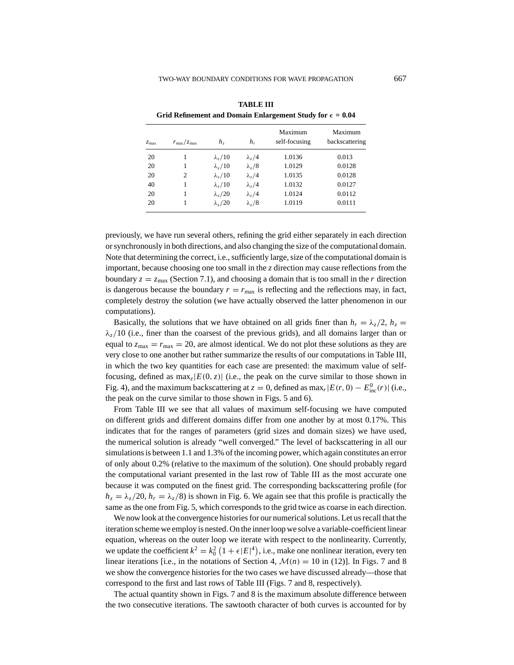| $z_{\rm max}$ | $r_{\rm max}/z_{\rm max}$ | h <sub>z</sub>             | $h_r$                     | Maximum<br>self-focusing | Maximum<br>backscattering |
|---------------|---------------------------|----------------------------|---------------------------|--------------------------|---------------------------|
| 20            |                           | $\lambda_z/10$             | $\lambda_z/4$             | 1.0136                   | 0.013                     |
| 20            |                           | $\lambda$ <sub>2</sub> /10 | $\lambda_z/8$             | 1.0129                   | 0.0128                    |
| 20            | $\overline{c}$            | $\lambda$ <sub>7</sub> /10 | $\lambda_z/4$             | 1.0135                   | 0.0128                    |
| 40            |                           | $\lambda$ <sub>7</sub> /10 | $\lambda_z/4$             | 1.0132                   | 0.0127                    |
| 20            | 1                         | $\lambda$ <sub>7</sub> /20 | $\lambda$ <sub>z</sub> /4 | 1.0124                   | 0.0112                    |
| 20            |                           | $\lambda$ , /20            | $\lambda_z/8$             | 1.0119                   | 0.0111                    |

**TABLE III** Grid Refinement and Domain Enlargement Study for  $\epsilon = 0.04$ 

previously, we have run several others, refining the grid either separately in each direction or synchronously in both directions, and also changing the size of the computational domain. Note that determining the correct, i.e., sufficiently large, size of the computational domain is important, because choosing one too small in the  $z$  direction may cause reflections from the boundary  $z = z_{\text{max}}$  (Section 7.1), and choosing a domain that is too small in the *r* direction is dangerous because the boundary  $r = r_{\text{max}}$  is reflecting and the reflections may, in fact, completely destroy the solution (we have actually observed the latter phenomenon in our computations).

Basically, the solutions that we have obtained on all grids finer than  $h_r = \lambda_z/2$ ,  $h_z =$  $\lambda$ <sub>z</sub>/10 (i.e., finer than the coarsest of the previous grids), and all domains larger than or equal to  $z_{\text{max}} = r_{\text{max}} = 20$ , are almost identical. We do not plot these solutions as they are very close to one another but rather summarize the results of our computations in Table III, in which the two key quantities for each case are presented: the maximum value of selffocusing, defined as  $\max_z |E(0, z)|$  (i.e., the peak on the curve similar to those shown in Fig. 4), and the maximum backscattering at  $z = 0$ , defined as max<sub>*r*</sub>|*E*(*r*, 0) –  $E_{inc}^0(r)$ | (i.e., the peak on the curve similar to those shown in Figs. 5 and 6).

From Table III we see that all values of maximum self-focusing we have computed on different grids and different domains differ from one another by at most 0.17%. This indicates that for the ranges of parameters (grid sizes and domain sizes) we have used, the numerical solution is already "well converged." The level of backscattering in all our simulations is between 1.1 and 1.3% of the incoming power, which again constitutes an error of only about 0.2% (relative to the maximum of the solution). One should probably regard the computational variant presented in the last row of Table III as the most accurate one because it was computed on the finest grid. The corresponding backscattering profile (for  $h_z = \lambda_z/20$ ,  $h_r = \lambda_z/8$ ) is shown in Fig. 6. We again see that this profile is practically the same as the one from Fig. 5, which corresponds to the grid twice as coarse in each direction.

We now look at the convergence histories for our numerical solutions. Let us recall that the iteration scheme we employ is nested. On the inner loop we solve a variable-coefficient linear equation, whereas on the outer loop we iterate with respect to the nonlinearity. Currently, we update the coefficient  $k^2 = k_0^2 (1 + \epsilon |E|^4)$ , i.e., make one nonlinear iteration, every ten linear iterations [i.e., in the notations of Section 4,  $\mathcal{M}(n) = 10$  in (12)]. In Figs. 7 and 8 we show the convergence histories for the two cases we have discussed already—those that correspond to the first and last rows of Table III (Figs. 7 and 8, respectively).

The actual quantity shown in Figs. 7 and 8 is the maximum absolute difference between the two consecutive iterations. The sawtooth character of both curves is accounted for by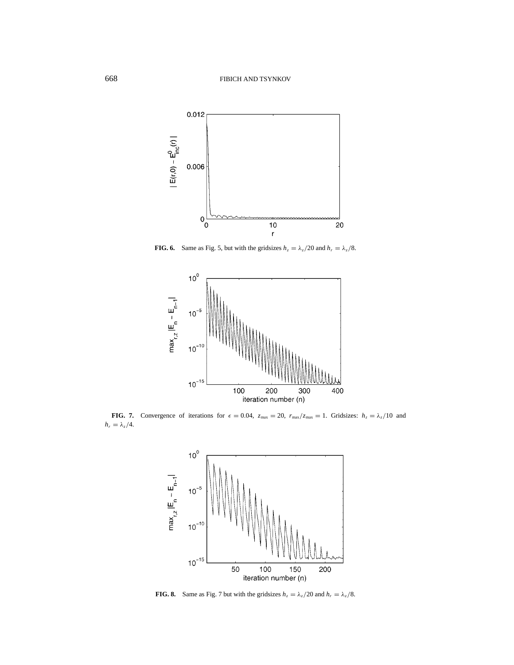

**FIG. 6.** Same as Fig. 5, but with the gridsizes  $h_z = \lambda_z/20$  and  $h_r = \lambda_z/8$ .



**FIG. 7.** Convergence of iterations for  $\epsilon = 0.04$ ,  $z_{\text{max}} = 20$ ,  $r_{\text{max}}/z_{\text{max}} = 1$ . Gridsizes:  $h_z = \lambda_z/10$  and  $h_r = \lambda_z/4$ .



**FIG. 8.** Same as Fig. 7 but with the gridsizes  $h_z = \lambda_z/20$  and  $h_r = \lambda_z/8$ .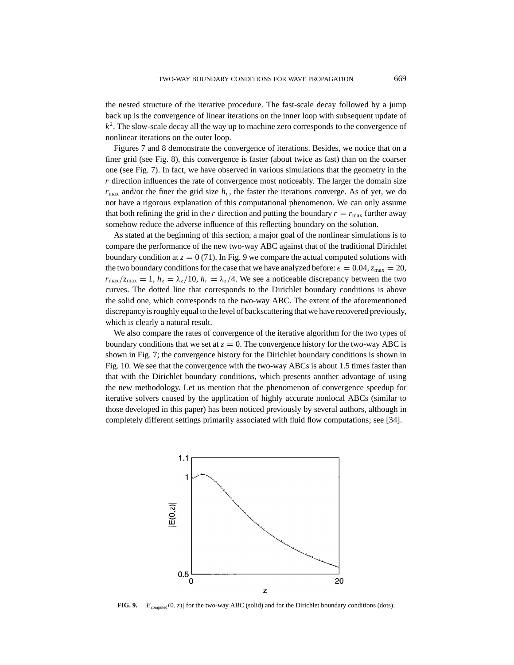the nested structure of the iterative procedure. The fast-scale decay followed by a jump back up is the convergence of linear iterations on the inner loop with subsequent update of *k*2. The slow-scale decay all the way up to machine zero corresponds to the convergence of nonlinear iterations on the outer loop.

Figures 7 and 8 demonstrate the convergence of iterations. Besides, we notice that on a finer grid (see Fig. 8), this convergence is faster (about twice as fast) than on the coarser one (see Fig. 7). In fact, we have observed in various simulations that the geometry in the *r* direction influences the rate of convergence most noticeably. The larger the domain size  $r_{\text{max}}$  and/or the finer the grid size  $h_r$ , the faster the iterations converge. As of yet, we do not have a rigorous explanation of this computational phenomenon. We can only assume that both refining the grid in the *r* direction and putting the boundary  $r = r_{\text{max}}$  further away somehow reduce the adverse influence of this reflecting boundary on the solution.

As stated at the beginning of this section, a major goal of the nonlinear simulations is to compare the performance of the new two-way ABC against that of the traditional Dirichlet boundary condition at  $z = 0$  (71). In Fig. 9 we compare the actual computed solutions with the two boundary conditions for the case that we have analyzed before:  $\epsilon = 0.04$ ,  $z_{\text{max}} = 20$ ,  $r_{\text{max}}/z_{\text{max}} = 1$ ,  $h_z = \lambda_z/10$ ,  $h_r = \lambda_z/4$ . We see a noticeable discrepancy between the two curves. The dotted line that corresponds to the Dirichlet boundary conditions is above the solid one, which corresponds to the two-way ABC. The extent of the aforementioned discrepancy is roughly equal to the level of backscattering that we have recovered previously, which is clearly a natural result.

We also compare the rates of convergence of the iterative algorithm for the two types of boundary conditions that we set at  $z = 0$ . The convergence history for the two-way ABC is shown in Fig. 7; the convergence history for the Dirichlet boundary conditions is shown in Fig. 10. We see that the convergence with the two-way ABCs is about 1.5 times faster than that with the Dirichlet boundary conditions, which presents another advantage of using the new methodology. Let us mention that the phenomenon of convergence speedup for iterative solvers caused by the application of highly accurate nonlocal ABCs (similar to those developed in this paper) has been noticed previously by several authors, although in completely different settings primarily associated with fluid flow computations; see [34].



**FIG. 9.**  $|E_{\text{computed}}(0, z)|$  for the two-way ABC (solid) and for the Dirichlet boundary conditions (dots).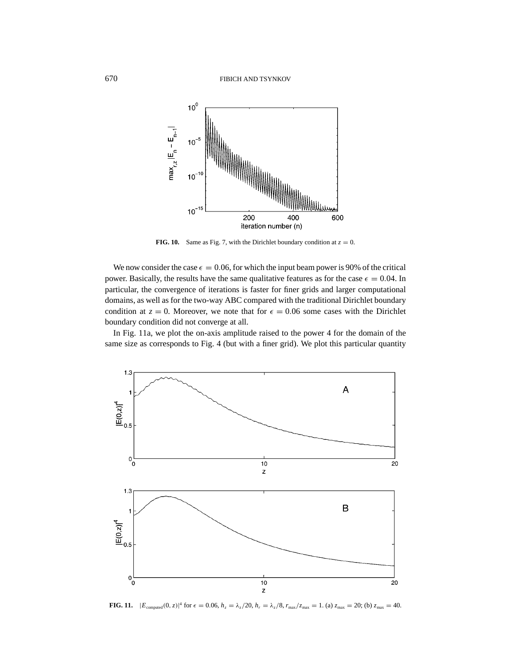

**FIG. 10.** Same as Fig. 7, with the Dirichlet boundary condition at  $z = 0$ .

We now consider the case  $\epsilon = 0.06$ , for which the input beam power is 90% of the critical power. Basically, the results have the same qualitative features as for the case  $\epsilon = 0.04$ . In particular, the convergence of iterations is faster for finer grids and larger computational domains, as well as for the two-way ABC compared with the traditional Dirichlet boundary condition at  $z = 0$ . Moreover, we note that for  $\epsilon = 0.06$  some cases with the Dirichlet boundary condition did not converge at all.

In Fig. 11a, we plot the on-axis amplitude raised to the power 4 for the domain of the same size as corresponds to Fig. 4 (but with a finer grid). We plot this particular quantity



**FIG. 11.**  $|E_{\text{computed}}(0, z)|^4$  for  $\epsilon = 0.06$ ,  $h_z = \lambda_z/20$ ,  $h_r = \lambda_z/8$ ,  $r_{\text{max}}/z_{\text{max}} = 1$ . (a)  $z_{\text{max}} = 20$ ; (b)  $z_{\text{max}} = 40$ .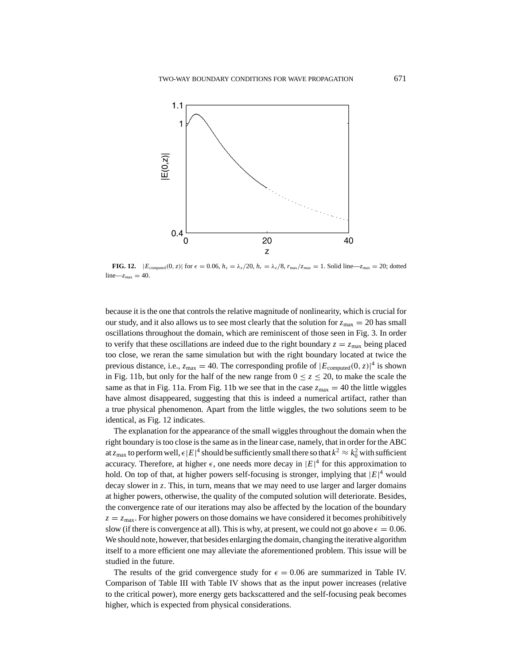

**FIG. 12.**  $|E_{\text{computed}}(0, z)|$  for  $\epsilon = 0.06$ ,  $h_z = \lambda_z/20$ ,  $h_r = \lambda_z/8$ ,  $r_{\text{max}}/z_{\text{max}} = 1$ . Solid line— $z_{\text{max}} = 20$ ; dotted  $line-z_{max} = 40$ .

because it is the one that controls the relative magnitude of nonlinearity, which is crucial for our study, and it also allows us to see most clearly that the solution for  $z_{\text{max}} = 20$  has small oscillations throughout the domain, which are reminiscent of those seen in Fig. 3. In order to verify that these oscillations are indeed due to the right boundary  $z = z_{\text{max}}$  being placed too close, we reran the same simulation but with the right boundary located at twice the previous distance, i.e.,  $z_{\text{max}} = 40$ . The corresponding profile of  $|E_{\text{computed}}(0, z)|^4$  is shown in Fig. 11b, but only for the half of the new range from  $0 \le z \le 20$ , to make the scale the same as that in Fig. 11a. From Fig. 11b we see that in the case  $z_{\text{max}} = 40$  the little wiggles have almost disappeared, suggesting that this is indeed a numerical artifact, rather than a true physical phenomenon. Apart from the little wiggles, the two solutions seem to be identical, as Fig. 12 indicates.

The explanation for the appearance of the small wiggles throughout the domain when the right boundary is too close is the same as in the linear case, namely, that in order for the ABC at  $z_{\rm max}$  to perform well,  $\epsilon|E|^4$  should be sufficiently small there so that  $k^2\approx k_0^2$  with sufficient accuracy. Therefore, at higher  $\epsilon$ , one needs more decay in  $|E|^4$  for this approximation to hold. On top of that, at higher powers self-focusing is stronger, implying that  $|E|^4$  would decay slower in *z*. This, in turn, means that we may need to use larger and larger domains at higher powers, otherwise, the quality of the computed solution will deteriorate. Besides, the convergence rate of our iterations may also be affected by the location of the boundary  $z = z_{\text{max}}$ . For higher powers on those domains we have considered it becomes prohibitively slow (if there is convergence at all). This is why, at present, we could not go above  $\epsilon = 0.06$ . We should note, however, that besides enlarging the domain, changing the iterative algorithm itself to a more efficient one may alleviate the aforementioned problem. This issue will be studied in the future.

The results of the grid convergence study for  $\epsilon = 0.06$  are summarized in Table IV. Comparison of Table III with Table IV shows that as the input power increases (relative to the critical power), more energy gets backscattered and the self-focusing peak becomes higher, which is expected from physical considerations.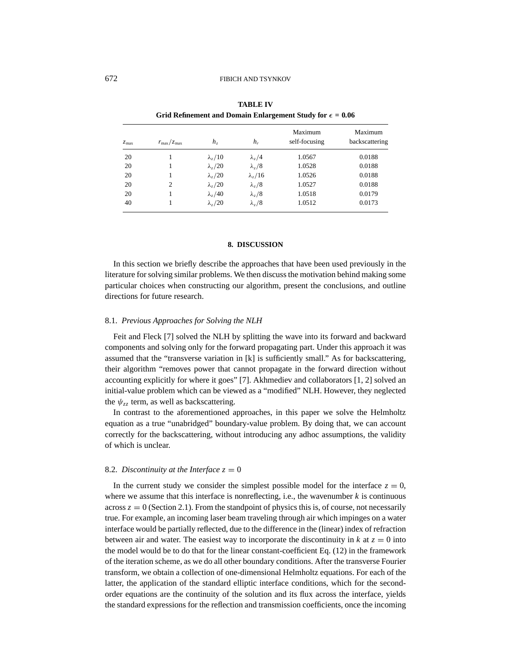| $z_{\rm max}$ | $r_{\rm max}/z_{\rm max}$ | h <sub>z</sub>             | $h_r$                      | Maximum<br>self-focusing | Maximum<br>backscattering |
|---------------|---------------------------|----------------------------|----------------------------|--------------------------|---------------------------|
| 20            |                           | $\lambda$ <sub>z</sub> /10 | $\lambda$ <sub>z</sub> /4  | 1.0567                   | 0.0188                    |
| 20            |                           | $\lambda$ , /20            | $\lambda_z/8$              | 1.0528                   | 0.0188                    |
| 20            |                           | $\lambda$ <sub>7</sub> /20 | $\lambda$ <sub>z</sub> /16 | 1.0526                   | 0.0188                    |
| 20            | 2                         | $\lambda$ <sub>7</sub> /20 | $\lambda_z/8$              | 1.0527                   | 0.0188                    |
| 20            |                           | $\lambda$ <sub>z</sub> /40 | $\lambda_z/8$              | 1.0518                   | 0.0179                    |
| 40            |                           | $\lambda$ , /20            | $\lambda_z/8$              | 1.0512                   | 0.0173                    |

**TABLE IV Grid Refinement and Domain Enlargement Study for**  $\epsilon = 0.06$ 

#### **8. DISCUSSION**

In this section we briefly describe the approaches that have been used previously in the literature for solving similar problems. We then discuss the motivation behind making some particular choices when constructing our algorithm, present the conclusions, and outline directions for future research.

## 8.1. *Previous Approaches for Solving the NLH*

Feit and Fleck [7] solved the NLH by splitting the wave into its forward and backward components and solving only for the forward propagating part. Under this approach it was assumed that the "transverse variation in [k] is sufficiently small." As for backscattering, their algorithm "removes power that cannot propagate in the forward direction without accounting explicitly for where it goes" [7]. Akhmediev and collaborators [1, 2] solved an initial-value problem which can be viewed as a "modified" NLH. However, they neglected the  $\psi_{z}$  term, as well as backscattering.

In contrast to the aforementioned approaches, in this paper we solve the Helmholtz equation as a true "unabridged" boundary-value problem. By doing that, we can account correctly for the backscattering, without introducing any adhoc assumptions, the validity of which is unclear.

#### 8.2. *Discontinuity at the Interface*  $z = 0$

In the current study we consider the simplest possible model for the interface  $z = 0$ , where we assume that this interface is nonreflecting, i.e., the wavenumber  $k$  is continuous across  $z = 0$  (Section 2.1). From the standpoint of physics this is, of course, not necessarily true. For example, an incoming laser beam traveling through air which impinges on a water interface would be partially reflected, due to the difference in the (linear) index of refraction between air and water. The easiest way to incorporate the discontinuity in  $k$  at  $z = 0$  into the model would be to do that for the linear constant-coefficient Eq. (12) in the framework of the iteration scheme, as we do all other boundary conditions. After the transverse Fourier transform, we obtain a collection of one-dimensional Helmholtz equations. For each of the latter, the application of the standard elliptic interface conditions, which for the secondorder equations are the continuity of the solution and its flux across the interface, yields the standard expressions for the reflection and transmission coefficients, once the incoming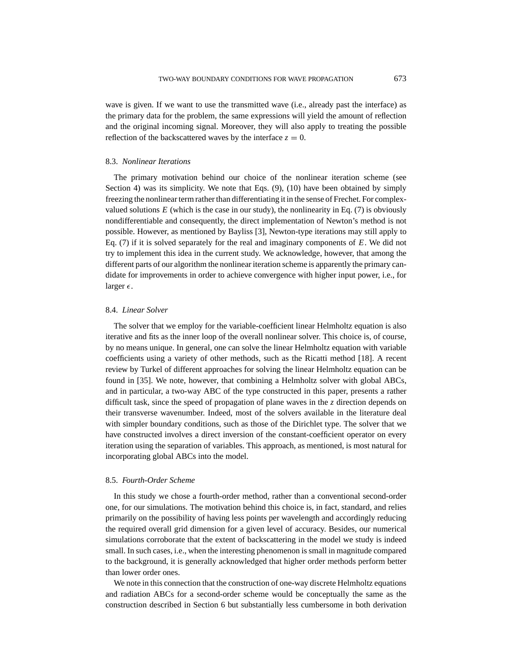wave is given. If we want to use the transmitted wave (i.e., already past the interface) as the primary data for the problem, the same expressions will yield the amount of reflection and the original incoming signal. Moreover, they will also apply to treating the possible reflection of the backscattered waves by the interface  $z = 0$ .

## 8.3. *Nonlinear Iterations*

The primary motivation behind our choice of the nonlinear iteration scheme (see Section 4) was its simplicity. We note that Eqs. (9), (10) have been obtained by simply freezing the nonlinear term rather than differentiating it in the sense of Frechet. For complexvalued solutions  $E$  (which is the case in our study), the nonlinearity in Eq. (7) is obviously nondifferentiable and consequently, the direct implementation of Newton's method is not possible. However, as mentioned by Bayliss [3], Newton-type iterations may still apply to Eq. (7) if it is solved separately for the real and imaginary components of *E*. We did not try to implement this idea in the current study. We acknowledge, however, that among the different parts of our algorithm the nonlinear iteration scheme is apparently the primary candidate for improvements in order to achieve convergence with higher input power, i.e., for larger  $\epsilon$ .

#### 8.4. *Linear Solver*

The solver that we employ for the variable-coefficient linear Helmholtz equation is also iterative and fits as the inner loop of the overall nonlinear solver. This choice is, of course, by no means unique. In general, one can solve the linear Helmholtz equation with variable coefficients using a variety of other methods, such as the Ricatti method [18]. A recent review by Turkel of different approaches for solving the linear Helmholtz equation can be found in [35]. We note, however, that combining a Helmholtz solver with global ABCs, and in particular, a two-way ABC of the type constructed in this paper, presents a rather difficult task, since the speed of propagation of plane waves in the *z* direction depends on their transverse wavenumber. Indeed, most of the solvers available in the literature deal with simpler boundary conditions, such as those of the Dirichlet type. The solver that we have constructed involves a direct inversion of the constant-coefficient operator on every iteration using the separation of variables. This approach, as mentioned, is most natural for incorporating global ABCs into the model.

## 8.5. *Fourth-Order Scheme*

In this study we chose a fourth-order method, rather than a conventional second-order one, for our simulations. The motivation behind this choice is, in fact, standard, and relies primarily on the possibility of having less points per wavelength and accordingly reducing the required overall grid dimension for a given level of accuracy. Besides, our numerical simulations corroborate that the extent of backscattering in the model we study is indeed small. In such cases, i.e., when the interesting phenomenon is small in magnitude compared to the background, it is generally acknowledged that higher order methods perform better than lower order ones.

We note in this connection that the construction of one-way discrete Helmholtz equations and radiation ABCs for a second-order scheme would be conceptually the same as the construction described in Section 6 but substantially less cumbersome in both derivation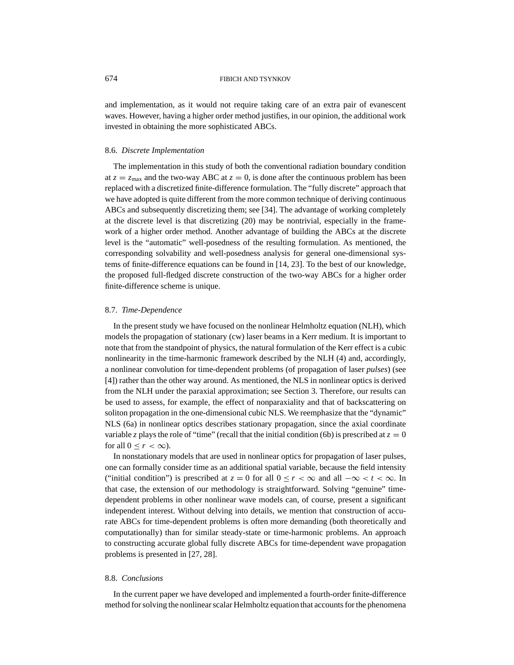and implementation, as it would not require taking care of an extra pair of evanescent waves. However, having a higher order method justifies, in our opinion, the additional work invested in obtaining the more sophisticated ABCs.

## 8.6. *Discrete Implementation*

The implementation in this study of both the conventional radiation boundary condition at  $z = z_{\text{max}}$  and the two-way ABC at  $z = 0$ , is done after the continuous problem has been replaced with a discretized finite-difference formulation. The "fully discrete" approach that we have adopted is quite different from the more common technique of deriving continuous ABCs and subsequently discretizing them; see [34]. The advantage of working completely at the discrete level is that discretizing (20) may be nontrivial, especially in the framework of a higher order method. Another advantage of building the ABCs at the discrete level is the "automatic" well-posedness of the resulting formulation. As mentioned, the corresponding solvability and well-posedness analysis for general one-dimensional systems of finite-difference equations can be found in [14, 23]. To the best of our knowledge, the proposed full-fledged discrete construction of the two-way ABCs for a higher order finite-difference scheme is unique.

#### 8.7. *Time-Dependence*

In the present study we have focused on the nonlinear Helmholtz equation (NLH), which models the propagation of stationary (cw) laser beams in a Kerr medium. It is important to note that from the standpoint of physics, the natural formulation of the Kerr effect is a cubic nonlinearity in the time-harmonic framework described by the NLH (4) and, accordingly, a nonlinear convolution for time-dependent problems (of propagation of laser *pulses*) (see [4]) rather than the other way around. As mentioned, the NLS in nonlinear optics is derived from the NLH under the paraxial approximation; see Section 3. Therefore, our results can be used to assess, for example, the effect of nonparaxiality and that of backscattering on soliton propagation in the one-dimensional cubic NLS. We reemphasize that the "dynamic" NLS (6a) in nonlinear optics describes stationary propagation, since the axial coordinate variable *z* plays the role of "time" (recall that the initial condition (6b) is prescribed at  $z = 0$ for all  $0 \le r \le \infty$ ).

In nonstationary models that are used in nonlinear optics for propagation of laser pulses, one can formally consider time as an additional spatial variable, because the field intensity ("initial condition") is prescribed at  $z = 0$  for all  $0 \le r < \infty$  and all  $-\infty < t < \infty$ . In that case, the extension of our methodology is straightforward. Solving "genuine" timedependent problems in other nonlinear wave models can, of course, present a significant independent interest. Without delving into details, we mention that construction of accurate ABCs for time-dependent problems is often more demanding (both theoretically and computationally) than for similar steady-state or time-harmonic problems. An approach to constructing accurate global fully discrete ABCs for time-dependent wave propagation problems is presented in [27, 28].

## 8.8. *Conclusions*

In the current paper we have developed and implemented a fourth-order finite-difference method for solving the nonlinear scalar Helmholtz equation that accounts for the phenomena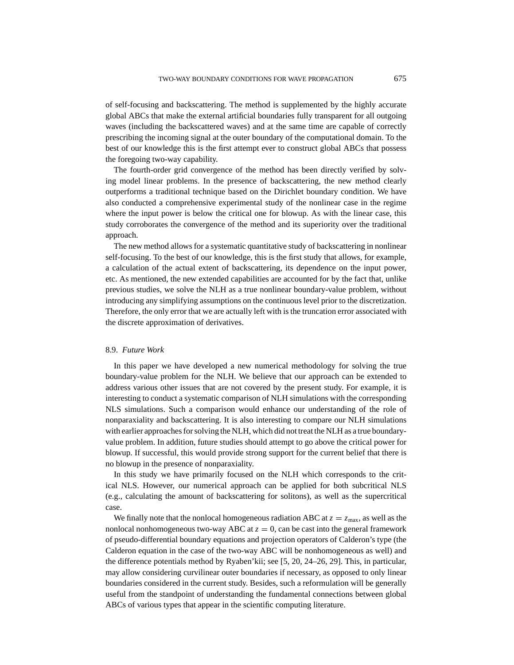of self-focusing and backscattering. The method is supplemented by the highly accurate global ABCs that make the external artificial boundaries fully transparent for all outgoing waves (including the backscattered waves) and at the same time are capable of correctly prescribing the incoming signal at the outer boundary of the computational domain. To the best of our knowledge this is the first attempt ever to construct global ABCs that possess the foregoing two-way capability.

The fourth-order grid convergence of the method has been directly verified by solving model linear problems. In the presence of backscattering, the new method clearly outperforms a traditional technique based on the Dirichlet boundary condition. We have also conducted a comprehensive experimental study of the nonlinear case in the regime where the input power is below the critical one for blowup. As with the linear case, this study corroborates the convergence of the method and its superiority over the traditional approach.

The new method allows for a systematic quantitative study of backscattering in nonlinear self-focusing. To the best of our knowledge, this is the first study that allows, for example, a calculation of the actual extent of backscattering, its dependence on the input power, etc. As mentioned, the new extended capabilities are accounted for by the fact that, unlike previous studies, we solve the NLH as a true nonlinear boundary-value problem, without introducing any simplifying assumptions on the continuous level prior to the discretization. Therefore, the only error that we are actually left with is the truncation error associated with the discrete approximation of derivatives.

#### 8.9. *Future Work*

In this paper we have developed a new numerical methodology for solving the true boundary-value problem for the NLH. We believe that our approach can be extended to address various other issues that are not covered by the present study. For example, it is interesting to conduct a systematic comparison of NLH simulations with the corresponding NLS simulations. Such a comparison would enhance our understanding of the role of nonparaxiality and backscattering. It is also interesting to compare our NLH simulations with earlier approaches for solving the NLH, which did not treat the NLH as a true boundaryvalue problem. In addition, future studies should attempt to go above the critical power for blowup. If successful, this would provide strong support for the current belief that there is no blowup in the presence of nonparaxiality.

In this study we have primarily focused on the NLH which corresponds to the critical NLS. However, our numerical approach can be applied for both subcritical NLS (e.g., calculating the amount of backscattering for solitons), as well as the supercritical case.

We finally note that the nonlocal homogeneous radiation ABC at  $z = z_{\text{max}}$ , as well as the nonlocal nonhomogeneous two-way ABC at  $z = 0$ , can be cast into the general framework of pseudo-differential boundary equations and projection operators of Calderon's type (the Calderon equation in the case of the two-way ABC will be nonhomogeneous as well) and the difference potentials method by Ryaben'kii; see [5, 20, 24–26, 29]. This, in particular, may allow considering curvilinear outer boundaries if necessary, as opposed to only linear boundaries considered in the current study. Besides, such a reformulation will be generally useful from the standpoint of understanding the fundamental connections between global ABCs of various types that appear in the scientific computing literature.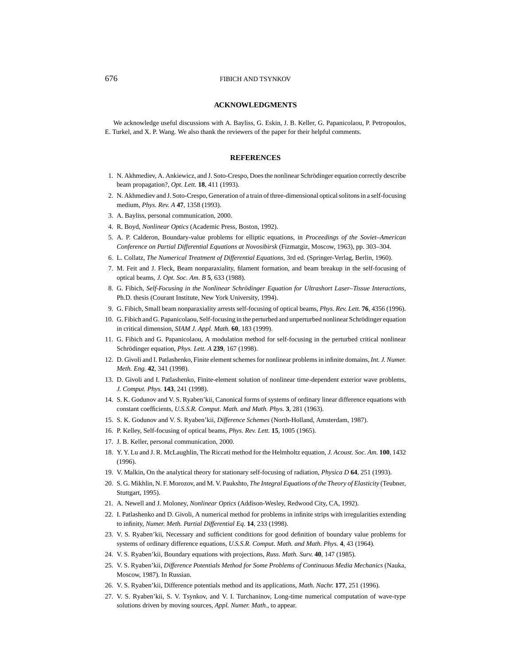#### **ACKNOWLEDGMENTS**

We acknowledge useful discussions with A. Bayliss, G. Eskin, J. B. Keller, G. Papanicolaou, P. Petropoulos, E. Turkel, and X. P. Wang. We also thank the reviewers of the paper for their helpful comments.

#### **REFERENCES**

- 1. N. Akhmediev, A. Ankiewicz, and J. Soto-Crespo, Does the nonlinear Schrödinger equation correctly describe beam propagation?, *Opt. Lett.* **18**, 411 (1993).
- 2. N. Akhmediev and J. Soto-Crespo, Generation of a train of three-dimensional optical solitons in a self-focusing medium, *Phys. Rev. A* **47**, 1358 (1993).
- 3. A. Bayliss, personal communication, 2000.
- 4. R. Boyd, *Nonlinear Optics* (Academic Press, Boston, 1992).
- 5. A. P. Calderon, Boundary-value problems for elliptic equations, in *Proceedings of the Soviet–American Conference on Partial Differential Equations at Novosibirsk* (Fizmatgiz, Moscow, 1963), pp. 303–304.
- 6. L. Collatz, *The Numerical Treatment of Differential Equations*, 3rd ed. (Springer-Verlag, Berlin, 1960).
- 7. M. Feit and J. Fleck, Beam nonparaxiality, filament formation, and beam breakup in the self-focusing of optical beams, *J. Opt. Soc. Am. B* **5**, 633 (1988).
- 8. G. Fibich, *Self-Focusing in the Nonlinear Schrödinger Equation for Ultrashort Laser–Tissue Interactions*, Ph.D. thesis (Courant Institute, New York University, 1994).
- 9. G. Fibich, Small beam nonparaxiality arrests self-focusing of optical beams, *Phys. Rev. Lett.* **76**, 4356 (1996).
- 10. G. Fibich and G. Papanicolaou, Self-focusing in the perturbed and unperturbed nonlinear Schrödinger equation in critical dimension, *SIAM J. Appl. Math.* **60**, 183 (1999).
- 11. G. Fibich and G. Papanicolaou, A modulation method for self-focusing in the perturbed critical nonlinear Schrödinger equation, *Phys. Lett. A* 239, 167 (1998).
- 12. D. Givoli and I. Patlashenko, Finite element schemes for nonlinear problems in infinite domains, *Int. J. Numer. Meth. Eng.* **42**, 341 (1998).
- 13. D. Givoli and I. Patlashenko, Finite-element solution of nonlinear time-dependent exterior wave problems, *J. Comput. Phys.* **143**, 241 (1998).
- 14. S. K. Godunov and V. S. Ryaben'kii, Canonical forms of systems of ordinary linear difference equations with constant coefficients, *U.S.S.R. Comput. Math. and Math. Phys.* **3**, 281 (1963).
- 15. S. K. Godunov and V. S. Ryaben'kii, *Difference Schemes* (North-Holland, Amsterdam, 1987).
- 16. P. Kelley, Self-focusing of optical beams, *Phys. Rev. Lett.* **15**, 1005 (1965).
- 17. J. B. Keller, personal communication, 2000.
- 18. Y. Y. Lu and J. R. McLaughlin, The Riccati method for the Helmholtz equation, *J. Acoust. Soc. Am.* **100**, 1432 (1996).
- 19. V. Malkin, On the analytical theory for stationary self-focusing of radiation, *Physica D* **64**, 251 (1993).
- 20. S. G. Mikhlin, N. F. Morozov, and M. V. Paukshto, *The Integral Equations of the Theory of Elasticity* (Teubner, Stuttgart, 1995).
- 21. A. Newell and J. Moloney, *Nonlinear Optics* (Addison-Wesley, Redwood City, CA, 1992).
- 22. I. Patlashenko and D. Givoli, A numerical method for problems in infinite strips with irregularities extending to infinity, *Numer. Meth. Partial Differential Eq.* **14**, 233 (1998).
- 23. V. S. Ryaben'kii, Necessary and sufficient conditions for good definition of boundary value problems for systems of ordinary difference equations, *U.S.S.R. Comput. Math. and Math. Phys.* **4**, 43 (1964).
- 24. V. S. Ryaben'kii, Boundary equations with projections, *Russ. Math. Surv.* **40**, 147 (1985).
- 25. V. S. Ryaben'kii, *Difference Potentials Method for Some Problems of Continuous Media Mechanics* (Nauka, Moscow, 1987). In Russian.
- 26. V. S. Ryaben'kii, Difference potentials method and its applications, *Math. Nachr.* **177**, 251 (1996).
- 27. V. S. Ryaben'kii, S. V. Tsynkov, and V. I. Turchaninov, Long-time numerical computation of wave-type solutions driven by moving sources, *Appl. Numer. Math.*, to appear.